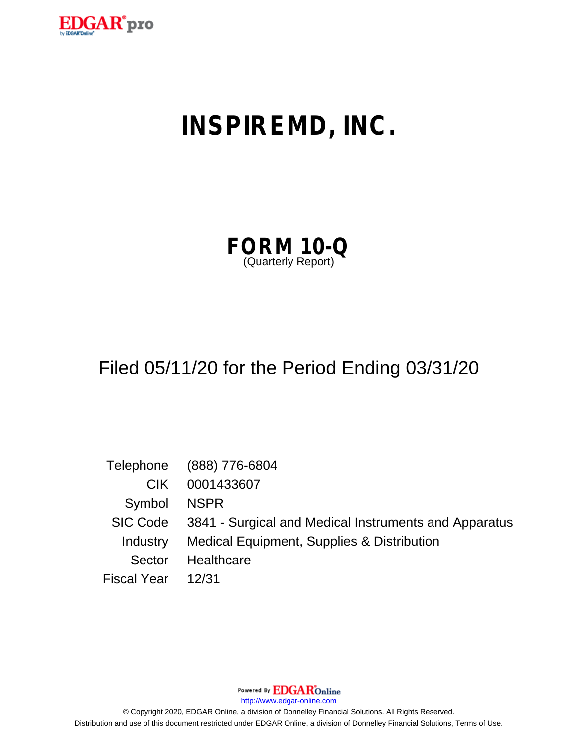

# **INSPIREMD, INC.**

| <b>FORM 10-Q</b>   |  |  |
|--------------------|--|--|
| (Quarterly Report) |  |  |

## Filed 05/11/20 for the Period Ending 03/31/20

|                   | Telephone (888) 776-6804                                       |
|-------------------|----------------------------------------------------------------|
| CIK.              | 0001433607                                                     |
| Symbol NSPR       |                                                                |
|                   | SIC Code 3841 - Surgical and Medical Instruments and Apparatus |
| Industry          | Medical Equipment, Supplies & Distribution                     |
| Sector            | Healthcare                                                     |
| Fiscal Year 12/31 |                                                                |

Powered By EDGAROnline

http://www.edgar-online.com

© Copyright 2020, EDGAR Online, a division of Donnelley Financial Solutions. All Rights Reserved. Distribution and use of this document restricted under EDGAR Online, a division of Donnelley Financial Solutions, Terms of Use.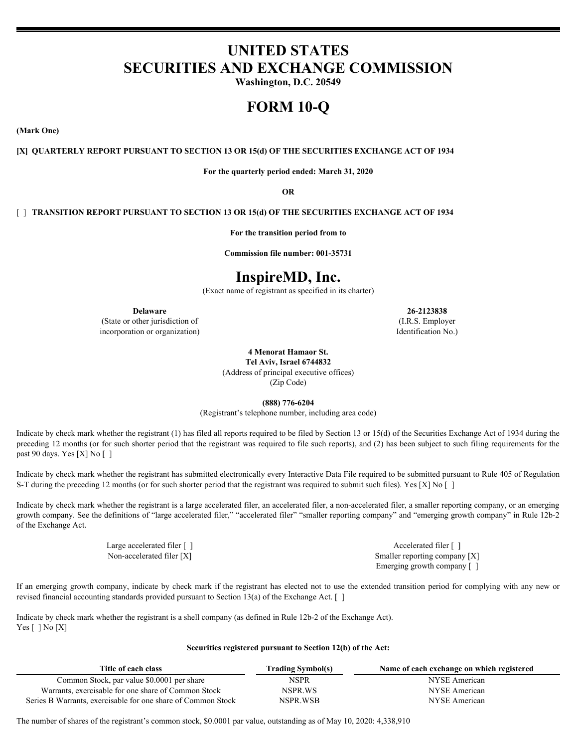## **UNITED STATES SECURITIES AND EXCHANGE COMMISSION**

**Washington, D.C. 20549**

## **FORM 10-Q**

**(Mark One)**

#### **[X] QUARTERLY REPORT PURSUANT TO SECTION 13 OR 15(d) OF THE SECURITIES EXCHANGE ACT OF 1934**

**For the quarterly period ended: March 31, 2020**

**OR**

#### [ ] **TRANSITION REPORT PURSUANT TO SECTION 13 OR 15(d) OF THE SECURITIES EXCHANGE ACT OF 1934**

**For the transition period from to**

**Commission file number: 001-35731**

## **InspireMD, Inc.**

(Exact name of registrant as specified in its charter)

(State or other jurisdiction of (I.R.S. Employer incorporation or organization) incorporation or organization  $N_0$ .

**Delaware 26-2123838**

**4 Menorat Hamaor St.**

**Tel Aviv, Israel 6744832** (Address of principal executive offices)

(Zip Code)

**(888) 776-6204**

(Registrant's telephone number, including area code)

Indicate by check mark whether the registrant (1) has filed all reports required to be filed by Section 13 or 15(d) of the Securities Exchange Act of 1934 during the preceding 12 months (or for such shorter period that the registrant was required to file such reports), and (2) has been subject to such filing requirements for the past 90 days. Yes [X] No [ ]

Indicate by check mark whether the registrant has submitted electronically every Interactive Data File required to be submitted pursuant to Rule 405 of Regulation S-T during the preceding 12 months (or for such shorter period that the registrant was required to submit such files). Yes [X] No []

Indicate by check mark whether the registrant is a large accelerated filer, an accelerated filer, a non-accelerated filer, a smaller reporting company, or an emerging growth company. See the definitions of "large accelerated filer," "accelerated filer" "smaller reporting company" and "emerging growth company" in Rule 12b-2 of the Exchange Act.

Large accelerated filer  $\lceil \cdot \rceil$ Non-accelerated filer [X] Smaller reporting company [X] Emerging growth company [ ]

If an emerging growth company, indicate by check mark if the registrant has elected not to use the extended transition period for complying with any new or revised financial accounting standards provided pursuant to Section 13(a) of the Exchange Act. [ ]

Indicate by check mark whether the registrant is a shell company (as defined in Rule 12b-2 of the Exchange Act). Yes [ ] No [X]

#### **Securities registered pursuant to Section 12(b) of the Act:**

| Title of each class                                          | Frading Symbol(s) | Name of each exchange on which registered |
|--------------------------------------------------------------|-------------------|-------------------------------------------|
| Common Stock, par value \$0.0001 per share                   | <b>NSPR</b>       | NYSE American                             |
| Warrants, exercisable for one share of Common Stock          | NSPR.WS           | NYSE American                             |
| Series B Warrants, exercisable for one share of Common Stock | NSPR.WSB          | NYSE American                             |

The number of shares of the registrant's common stock, \$0.0001 par value, outstanding as of May 10, 2020: 4,338,910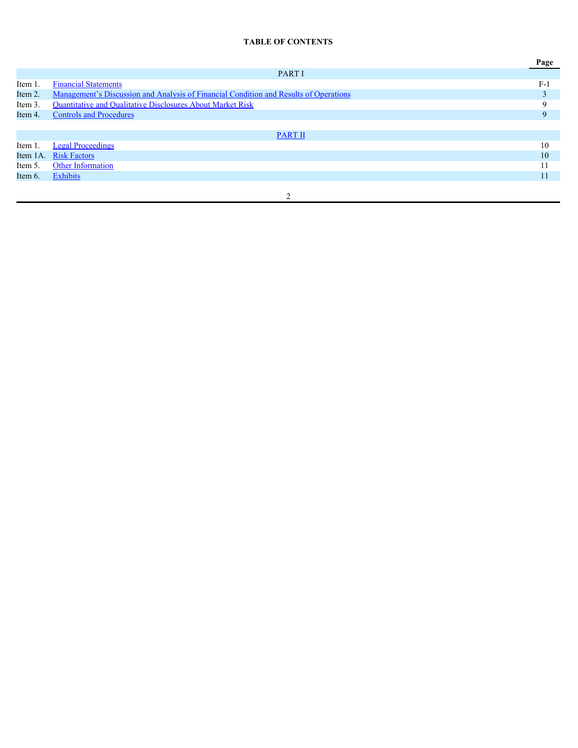### **TABLE OF CONTENTS**

|         |                                                                                       | Page  |
|---------|---------------------------------------------------------------------------------------|-------|
|         | PART I                                                                                |       |
| Item 1. | <b>Financial Statements</b>                                                           | $F-1$ |
| Item 2. | Management's Discussion and Analysis of Financial Condition and Results of Operations |       |
| Item 3. | Quantitative and Qualitative Disclosures About Market Risk                            |       |
| Item 4. | <b>Controls and Procedures</b>                                                        | 9     |
|         |                                                                                       |       |
|         | <b>PART II</b>                                                                        |       |
| Item 1. | <b>Legal Proceedings</b>                                                              | 10    |
|         | Item 1A. Risk Factors                                                                 | 10    |
| Item 5. | Other Information                                                                     |       |
| Item 6. | Exhibits                                                                              | 11    |
|         |                                                                                       |       |
|         |                                                                                       |       |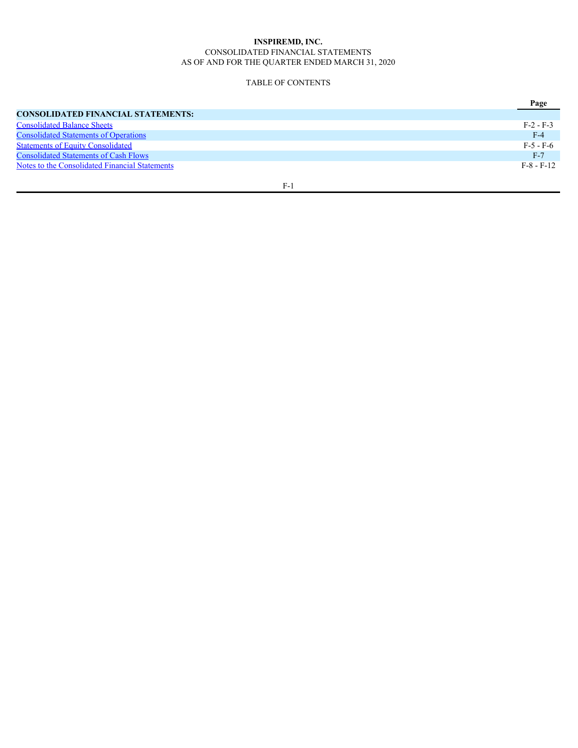#### **INSPIREMD, INC.** CONSOLIDATED FINANCIAL STATEMENTS AS OF AND FOR THE QUARTER ENDED MARCH 31, 2020

#### <span id="page-4-0"></span>TABLE OF CONTENTS

|                                                       | Page         |
|-------------------------------------------------------|--------------|
| CONSOLIDATED FINANCIAL STATEMENTS:                    |              |
| <b>Consolidated Balance Sheets</b>                    | $F-2 - F-3$  |
| <b>Consolidated Statements of Operations</b>          | $F-4$        |
| <b>Statements of Equity Consolidated</b>              | $F-5 - F-6$  |
| <b>Consolidated Statements of Cash Flows</b>          | $F-7$        |
| <b>Notes to the Consolidated Financial Statements</b> | $F-8 - F-12$ |
|                                                       |              |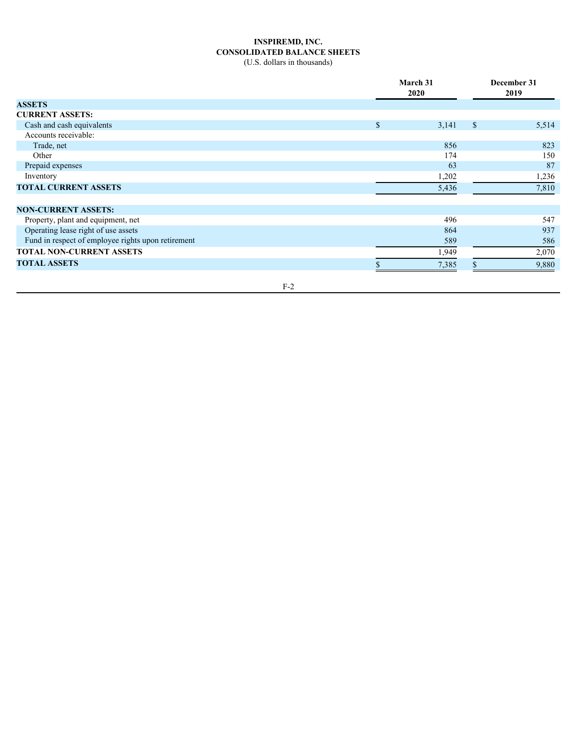## **INSPIREMD, INC. CONSOLIDATED BALANCE SHEETS**

<span id="page-5-0"></span>(U.S. dollars in thousands)

|                                                    |               | March 31<br>2020 |               | December 31<br>2019 |
|----------------------------------------------------|---------------|------------------|---------------|---------------------|
| <b>ASSETS</b>                                      |               |                  |               |                     |
| <b>CURRENT ASSETS:</b>                             |               |                  |               |                     |
| Cash and cash equivalents                          | $\mathcal{S}$ | 3,141            | <sup>\$</sup> | 5,514               |
| Accounts receivable:                               |               |                  |               |                     |
| Trade, net                                         |               | 856              |               | 823                 |
| Other                                              |               | 174              |               | 150                 |
| Prepaid expenses                                   |               | 63               |               | 87                  |
| Inventory                                          |               | 1,202            |               | 1,236               |
| <b>TOTAL CURRENT ASSETS</b>                        |               | 5,436            |               | 7,810               |
| <b>NON-CURRENT ASSETS:</b>                         |               |                  |               |                     |
| Property, plant and equipment, net                 |               | 496              |               | 547                 |
| Operating lease right of use assets                |               | 864              |               | 937                 |
| Fund in respect of employee rights upon retirement |               | 589              |               | 586                 |
| TOTAL NON-CURRENT ASSETS                           |               | 1,949            |               | 2,070               |
| <b>TOTAL ASSETS</b>                                |               | 7,385            |               | 9,880               |
|                                                    |               |                  |               |                     |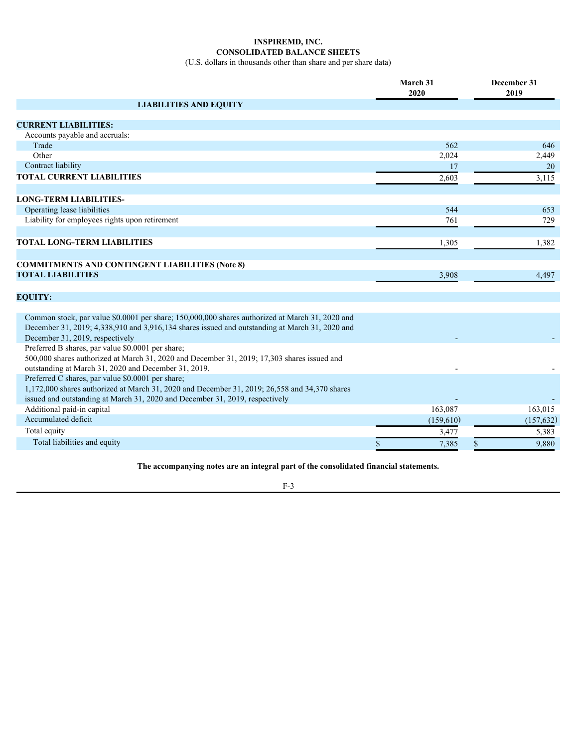## **INSPIREMD, INC. CONSOLIDATED BALANCE SHEETS**

(U.S. dollars in thousands other than share and per share data)

|                                                                                                                                                                                                                                      | March 31<br>2020 | December 31<br>2019 |
|--------------------------------------------------------------------------------------------------------------------------------------------------------------------------------------------------------------------------------------|------------------|---------------------|
| <b>LIABILITIES AND EQUITY</b>                                                                                                                                                                                                        |                  |                     |
| <b>CURRENT LIABILITIES:</b>                                                                                                                                                                                                          |                  |                     |
| Accounts payable and accruals:                                                                                                                                                                                                       |                  |                     |
| Trade                                                                                                                                                                                                                                | 562              | 646                 |
| Other                                                                                                                                                                                                                                | 2,024            | 2,449               |
| Contract liability                                                                                                                                                                                                                   | 17               | 20                  |
| <b>TOTAL CURRENT LIABILITIES</b>                                                                                                                                                                                                     | 2,603            | 3,115               |
| <b>LONG-TERM LIABILITIES-</b>                                                                                                                                                                                                        |                  |                     |
| Operating lease liabilities                                                                                                                                                                                                          | 544              | 653                 |
| Liability for employees rights upon retirement                                                                                                                                                                                       | 761              | 729                 |
| <b>TOTAL LONG-TERM LIABILITIES</b>                                                                                                                                                                                                   | 1,305            | 1,382               |
|                                                                                                                                                                                                                                      |                  |                     |
| <b>COMMITMENTS AND CONTINGENT LIABILITIES (Note 8)</b>                                                                                                                                                                               |                  |                     |
| <b>TOTAL LIABILITIES</b>                                                                                                                                                                                                             | 3,908            | 4,497               |
| <b>EQUITY:</b>                                                                                                                                                                                                                       |                  |                     |
|                                                                                                                                                                                                                                      |                  |                     |
| Common stock, par value \$0.0001 per share; 150,000,000 shares authorized at March 31, 2020 and<br>December 31, 2019; 4,338,910 and 3,916,134 shares issued and outstanding at March 31, 2020 and<br>December 31, 2019, respectively |                  |                     |
| Preferred B shares, par value \$0.0001 per share;<br>500,000 shares authorized at March 31, 2020 and December 31, 2019; 17,303 shares issued and<br>outstanding at March 31, 2020 and December 31, 2019.                             |                  |                     |
| Preferred C shares, par value \$0.0001 per share;<br>1,172,000 shares authorized at March 31, 2020 and December 31, 2019; 26,558 and 34,370 shares<br>issued and outstanding at March 31, 2020 and December 31, 2019, respectively   |                  |                     |
| Additional paid-in capital                                                                                                                                                                                                           | 163,087          | 163,015             |
| Accumulated deficit                                                                                                                                                                                                                  | (159,610)        | (157, 632)          |
| Total equity                                                                                                                                                                                                                         | 3,477            | 5,383               |
| Total liabilities and equity                                                                                                                                                                                                         | 7,385            | 9,880               |
|                                                                                                                                                                                                                                      |                  |                     |

**The accompanying notes are an integral part of the consolidated financial statements.**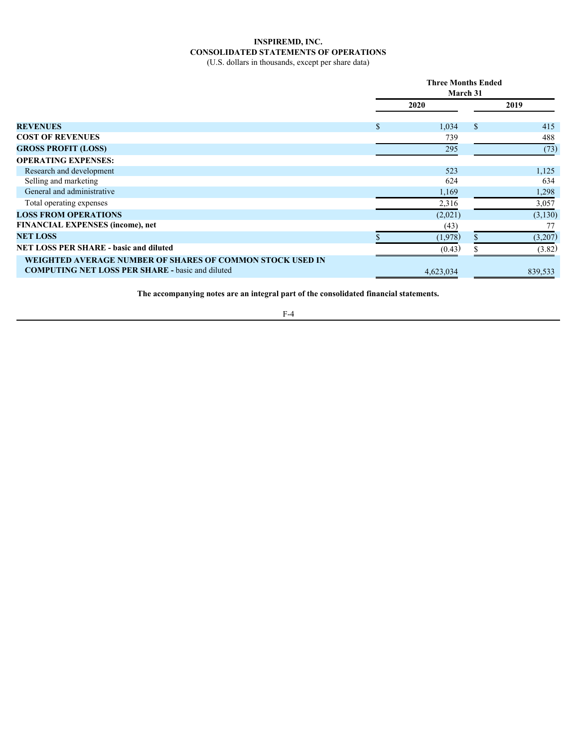## **INSPIREMD, INC. CONSOLIDATED STATEMENTS OF OPERATIONS**

<span id="page-7-0"></span>(U.S. dollars in thousands, except per share data)

|                                                                                                                      | <b>Three Months Ended</b><br>March 31 |           |               |         |  |
|----------------------------------------------------------------------------------------------------------------------|---------------------------------------|-----------|---------------|---------|--|
|                                                                                                                      |                                       | 2020      |               | 2019    |  |
| <b>REVENUES</b>                                                                                                      |                                       | 1,034     | $\mathcal{S}$ | 415     |  |
| <b>COST OF REVENUES</b>                                                                                              |                                       | 739       |               | 488     |  |
| <b>GROSS PROFIT (LOSS)</b>                                                                                           |                                       | 295       |               | (73)    |  |
| <b>OPERATING EXPENSES:</b>                                                                                           |                                       |           |               |         |  |
| Research and development                                                                                             |                                       | 523       |               | 1,125   |  |
| Selling and marketing                                                                                                |                                       | 624       |               | 634     |  |
| General and administrative                                                                                           |                                       | 1,169     |               | 1,298   |  |
| Total operating expenses                                                                                             |                                       | 2,316     |               | 3,057   |  |
| <b>LOSS FROM OPERATIONS</b>                                                                                          |                                       | (2,021)   |               | (3,130) |  |
| <b>FINANCIAL EXPENSES (income), net</b>                                                                              |                                       | (43)      |               | 77      |  |
| <b>NET LOSS</b>                                                                                                      |                                       | (1,978)   |               | (3,207) |  |
| <b>NET LOSS PER SHARE - basic and diluted</b>                                                                        |                                       | (0.43)    |               | (3.82)  |  |
| WEIGHTED AVERAGE NUMBER OF SHARES OF COMMON STOCK USED IN<br><b>COMPUTING NET LOSS PER SHARE - basic and diluted</b> |                                       | 4,623,034 |               | 839,533 |  |
|                                                                                                                      |                                       |           |               |         |  |

**The accompanying notes are an integral part of the consolidated financial statements.**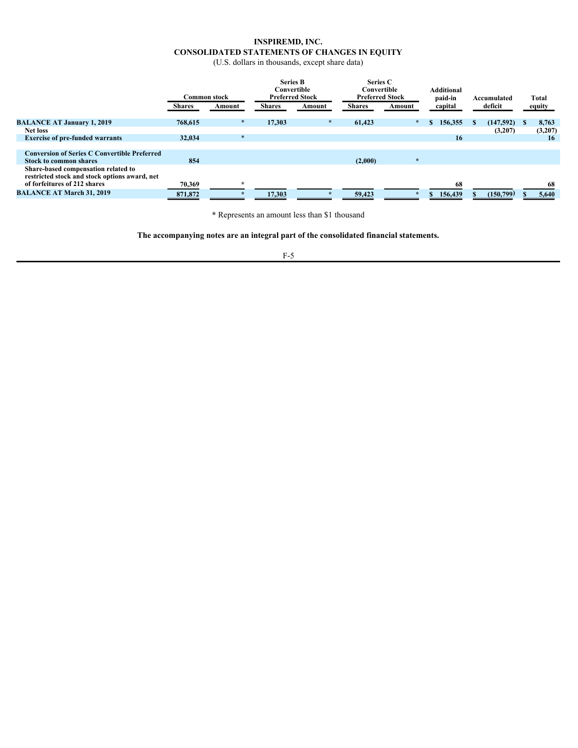### **INSPIREMD, INC. CONSOLIDATED STATEMENTS OF CHANGES IN EQUITY**

<span id="page-8-0"></span>(U.S. dollars in thousands, except share data)

|                                                                                                                      |               | Common stock |               | Convertible<br><b>Preferred Stock</b> | Series C<br>Convertible | <b>Preferred Stock</b> | <b>Additional</b><br>paid-in | Accumulated | Total   |
|----------------------------------------------------------------------------------------------------------------------|---------------|--------------|---------------|---------------------------------------|-------------------------|------------------------|------------------------------|-------------|---------|
|                                                                                                                      | <b>Shares</b> | Amount       | <b>Shares</b> | Amount                                | <b>Shares</b>           | Amount                 | capital                      | deficit     | equity  |
| <b>BALANCE AT January 1, 2019</b>                                                                                    | 768,615       |              | 17,303        |                                       | 61,423                  |                        | 156,355                      | (147,592)   | 8,763   |
| <b>Net loss</b>                                                                                                      |               |              |               |                                       |                         |                        |                              | (3,207)     | (3,207) |
| <b>Exercise of pre-funded warrants</b>                                                                               | 32,034        |              |               |                                       |                         |                        | 16                           |             | 16      |
| <b>Conversion of Series C Convertible Preferred</b><br><b>Stock to common shares</b>                                 | 854           |              |               |                                       | (2,000)                 |                        |                              |             |         |
| Share-based compensation related to<br>restricted stock and stock options award, net<br>of forfeitures of 212 shares | 70,369        |              |               |                                       |                         |                        | 68                           |             |         |
| <b>BALANCE AT March 31, 2019</b>                                                                                     | 871,872       |              | 17.303        |                                       | 59,423                  |                        | 156,439                      | (150,799)   | 5,640   |

**\*** Represents an amount less than \$1 thousand

**The accompanying notes are an integral part of the consolidated financial statements.**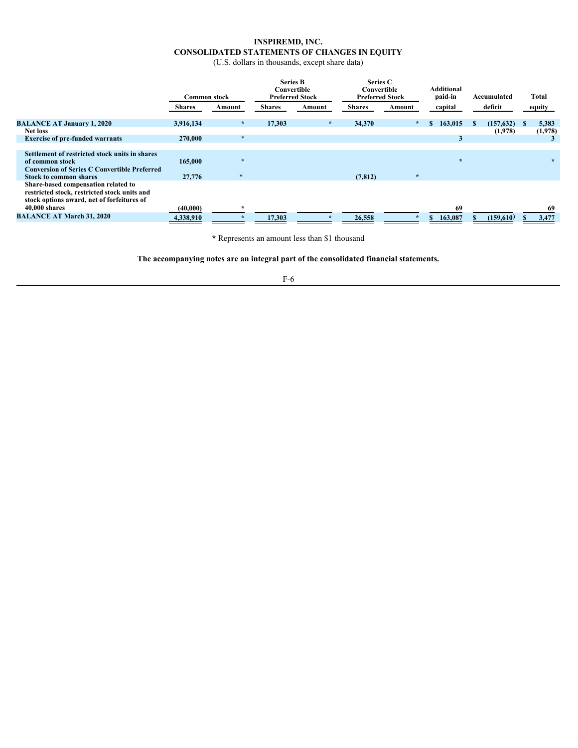## **INSPIREMD, INC. CONSOLIDATED STATEMENTS OF CHANGES IN EQUITY**

(U.S. dollars in thousands, except share data)

|                                                                                                                                                                                                  | <b>Common stock</b>   |        | <b>Series B</b><br>Convertible | <b>Preferred Stock</b> | Series C<br>Convertible<br><b>Preferred Stock</b> |        | <b>Additional</b><br>paid-in | Accumulated | Total       |
|--------------------------------------------------------------------------------------------------------------------------------------------------------------------------------------------------|-----------------------|--------|--------------------------------|------------------------|---------------------------------------------------|--------|------------------------------|-------------|-------------|
|                                                                                                                                                                                                  | <b>Shares</b>         | Amount | <b>Shares</b>                  | Amount                 | <b>Shares</b>                                     | Amount | capital                      | deficit     | equity      |
| <b>BALANCE AT January 1, 2020</b>                                                                                                                                                                | 3,916,134             |        | 17.303                         |                        | 34,370                                            |        | 163,015                      | (157, 632)  | 5,383       |
| <b>Net loss</b>                                                                                                                                                                                  |                       |        |                                |                        |                                                   |        |                              | (1,978)     | (1,978)     |
| <b>Exercise of pre-funded warrants</b>                                                                                                                                                           | 270,000               |        |                                |                        |                                                   |        |                              |             |             |
| Settlement of restricted stock units in shares<br>of common stock<br><b>Conversion of Series C Convertible Preferred</b><br><b>Stock to common shares</b><br>Share-based compensation related to | 165,000<br>27,776     |        |                                |                        | (7, 812)                                          |        |                              |             |             |
| restricted stock, restricted stock units and<br>stock options award, net of forfeitures of<br>40,000 shares<br><b>BALANCE AT March 31, 2020</b>                                                  | (40,000)<br>4,338,910 |        | 17,303                         |                        | 26,558                                            |        | 69<br>163,087                | (159,610)   | 69<br>3,477 |
|                                                                                                                                                                                                  |                       |        |                                |                        |                                                   |        |                              |             |             |

**\*** Represents an amount less than \$1 thousand

**The accompanying notes are an integral part of the consolidated financial statements.**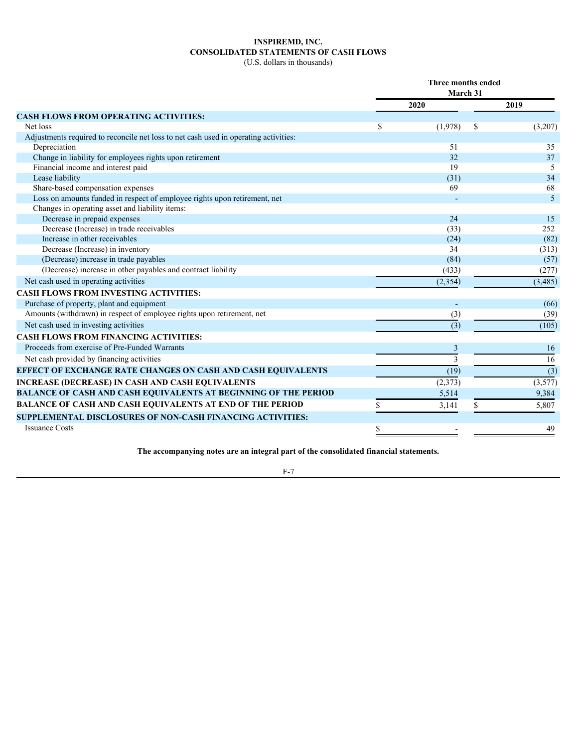## **INSPIREMD, INC. CONSOLIDATED STATEMENTS OF CASH FLOWS**

<span id="page-10-0"></span>(U.S. dollars in thousands)

|                                                                                      | Three months ended<br>March 31 |      |                |
|--------------------------------------------------------------------------------------|--------------------------------|------|----------------|
|                                                                                      | 2020                           | 2019 |                |
| <b>CASH FLOWS FROM OPERATING ACTIVITIES:</b>                                         |                                |      |                |
| Net loss                                                                             | \$<br>(1,978)                  | -S   | (3,207)        |
| Adjustments required to reconcile net loss to net cash used in operating activities: |                                |      |                |
| Depreciation                                                                         | 51                             |      | 35             |
| Change in liability for employees rights upon retirement                             | 32                             |      | 37             |
| Financial income and interest paid                                                   | 19                             |      | 5              |
| Lease liability                                                                      | (31)                           |      | 34             |
| Share-based compensation expenses                                                    | 69                             |      | 68             |
| Loss on amounts funded in respect of employee rights upon retirement, net            |                                |      | $\overline{5}$ |
| Changes in operating asset and liability items:                                      |                                |      |                |
| Decrease in prepaid expenses                                                         | 24                             |      | 15             |
| Decrease (Increase) in trade receivables                                             | (33)                           |      | 252            |
| Increase in other receivables                                                        | (24)                           |      | (82)           |
| Decrease (Increase) in inventory                                                     | 34                             |      | (313)          |
| (Decrease) increase in trade payables                                                | (84)                           |      | (57)           |
| (Decrease) increase in other payables and contract liability                         | (433)                          |      | (277)          |
| Net cash used in operating activities                                                | (2, 354)                       |      | (3,485)        |
| <b>CASH FLOWS FROM INVESTING ACTIVITIES:</b>                                         |                                |      |                |
| Purchase of property, plant and equipment                                            |                                |      | (66)           |
| Amounts (withdrawn) in respect of employee rights upon retirement, net               | (3)                            |      | (39)           |
| Net cash used in investing activities                                                | (3)                            |      | (105)          |
| <b>CASH FLOWS FROM FINANCING ACTIVITIES:</b>                                         |                                |      |                |
| Proceeds from exercise of Pre-Funded Warrants                                        |                                |      | 16             |
| Net cash provided by financing activities                                            |                                |      | 16             |
| EFFECT OF EXCHANGE RATE CHANGES ON CASH AND CASH EQUIVALENTS                         | (19)                           |      | (3)            |
| <b>INCREASE (DECREASE) IN CASH AND CASH EQUIVALENTS</b>                              | (2,373)                        |      | (3,577)        |
| <b>BALANCE OF CASH AND CASH EQUIVALENTS AT BEGINNING OF THE PERIOD</b>               | 5,514                          |      | 9,384          |
| <b>BALANCE OF CASH AND CASH EQUIVALENTS AT END OF THE PERIOD</b>                     | 3,141                          |      | 5,807          |
| <b>SUPPLEMENTAL DISCLOSURES OF NON-CASH FINANCING ACTIVITIES:</b>                    |                                |      |                |
| <b>Issuance Costs</b>                                                                |                                |      | 49             |
|                                                                                      |                                |      |                |

**The accompanying notes are an integral part of the consolidated financial statements.**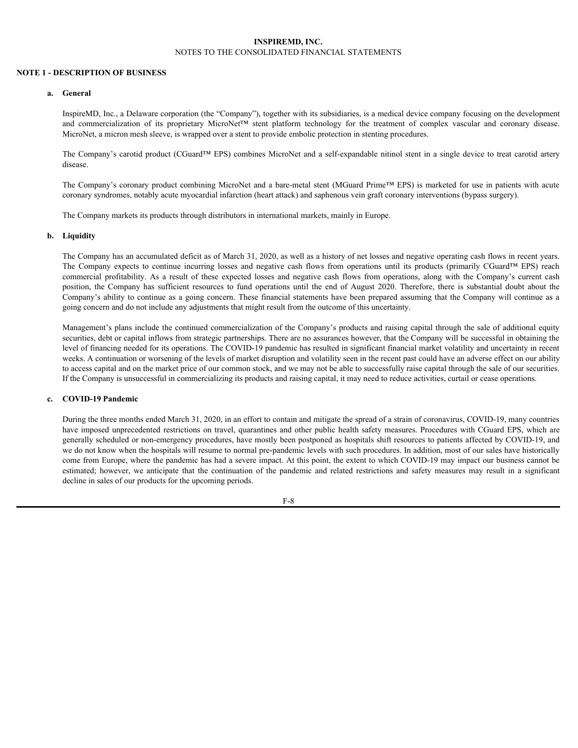#### <span id="page-11-0"></span>**INSPIREMD, INC.** NOTES TO THE CONSOLIDATED FINANCIAL STATEMENTS

#### **NOTE 1 - DESCRIPTION OF BUSINESS**

#### **a. General**

InspireMD, Inc., a Delaware corporation (the "Company"), together with its subsidiaries, is a medical device company focusing on the development **INSPIREMD, INC.**<br> **ESCRIPTION OF BUSINESS**<br> **General**<br>
InspireMD, Inc., a Delaware corporation (the "Company"), together with its subsidiaries, is a medical device company focusing on the development<br>
and commercializati MicroNet, a micron mesh sleeve, is wrapped over a stent to provide embolic protection in stenting procedures.

The Company's carotid product (CGuard™ EPS) combines MicroNet and a self-expandable nitinol stent in a single device to treat carotid artery disease.

The Company's coronary product combining MicroNet and a bare-metal stent (MGuard Prime™ EPS) is marketed for use in patients with acute coronary syndromes, notably acute myocardial infarction (heart attack) and saphenous vein graft coronary interventions (bypass surgery).

The Company markets its products through distributors in international markets, mainly in Europe.

#### **b. Liquidity**

The Company has an accumulated deficit as of March 31, 2020, as well as a history of net losses and negative operating cash flows in recent years. **THE COMPANY SECTIVE CONSOLIDATED FINANCIAL STATEMENTS**<br> **Conteral**<br> **Company** Insect and Downer components (the "Company"), together with its subsidiaries, its annedeed device company focusing on the development<br> **Insect** SCRIFTION OF BISINESS<br>
SCRIFTION OF BISINESS<br>
Corectal<br>
chapter comparison (the "Compary"), together with its subsidiaries, is a motion device compary focusing on the obvelopment<br>
and connected/ization of its proprietary M NOTES TO THE CONSOLIDATED FINANCIAL STATEMENTS<br>
Company<br>
Company Consider on the proprietory (Inspirance Company), together with its addidionties, is a modical device company focusing on the development<br>
Interval (Margust Company's ability to continue as a going concern. These financial statements have been prepared assuming that the Company will continue as a going concern and do not include any adjustments that might result from the outcome of this uncertainty.

Management's plans include the continued commercialization of the Company's products and raising capital through the sale of additional equity securities, debt or capital inflows from strategic partnerships. There are no assurances however, that the Company will be successful in obtaining the level of financing needed for its operations. The COVID-19 pandemic has resulted in significant financial market volatility and uncertainty in recent weeks. A continuation or worsening of the levels of market disruption and volatility seen in the recent past could have an adverse effect on our ability to access capital and on the market price of our common stock, and we may not be able to successfully raise capital through the sale of our securities. If the Company is unsuccessful in commercializing its products and raising capital, it may need to reduce activities, curtail or cease operations.

#### **c. COVID-19 Pandemic**

During the three months ended March 31, 2020, in an effort to contain and mitigate the spread of a strain of coronavirus, COVID-19, many countries have imposed unprecedented restrictions on travel, quarantines and other public health safety measures. Procedures with CGuard EPS, which are generally scheduled or non-emergency procedures, have mostly been postponed as hospitals shift resources to patients affected by COVID-19, and we do not know when the hospitals will resume to normal pre-pandemic levels with such procedures. In addition, most of our sales have historically come from Europe, where the pandemic has had a severe impact. At this point, the extent to which COVID-19 may impact our business cannot be disease.<br>The Company's cosonary product combining MicroSlet and a bare-meal start (MGnad Prime<sup>35</sup> EPs) is marked for use in parisms with accure<br>The Company spherons, neably neute myocedial infarction then the show to the decline in sales of our products for the upcoming periods.

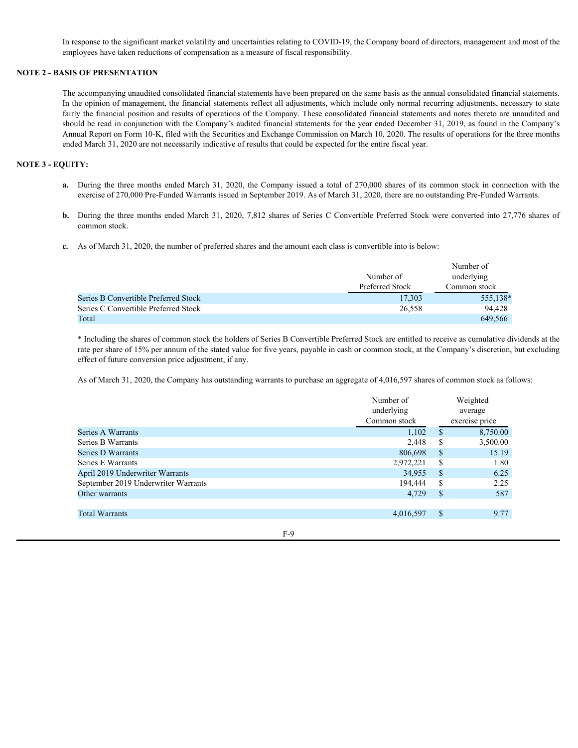In response to the significant market volatility and uncertainties relating to COVID-19, the Company board of directors, management and most of the employees have taken reductions of compensation as a measure of fiscal responsibility.

#### **NOTE 2 - BASIS OF PRESENTATION**

The accompanying unaudited consolidated financial statements have been prepared on the same basis as the annual consolidated financial statements. In the opinion of management, the financial statements reflect all adjustments, which include only normal recurring adjustments, necessary to state fairly the financial position and results of operations of the Company. These consolidated financial statements and notes thereto are unaudited and should be read in conjunction with the Company's audited financial statements for the year ended December 31, 2019, as found in the Company's Annual Report on Form 10-K, filed with the Securities and Exchange Commission on March 10, 2020. The results of operations for the three months ended March 31, 2020 are not necessarily indicative of results that could be expected for the entire fiscal year. In response to the significant market volatility and uncertainties relating to COVID-19, the Company board of directors, management and most of the employees have taken reductions of compensation as a measure of fiscal res

#### **NOTE 3 - EQUITY:**

- exercise of 270,000 Pre-Funded Warrants issued in September 2019. As of March 31, 2020, there are no outstanding Pre-Funded Warrants.
- **b.** During the three months ended March 31, 2020, 7,812 shares of Series C Convertible Preferred Stock were converted into 27,776 shares of common stock.
- **c.** As of March 31, 2020, the number of preferred shares and the amount each class is convertible into is below:

|                                      |                 | Number of    |
|--------------------------------------|-----------------|--------------|
|                                      | Number of       | underlying   |
|                                      | Preferred Stock | Common stock |
| Series B Convertible Preferred Stock | 17,303          | 555,138*     |
| Series C Convertible Preferred Stock | 26,558          | 94,428       |
| Total                                |                 | 649,566      |

\* Including the shares of common stock the holders of Series B Convertible Preferred Stock are entitled to receive as cumulative dividends at the rate per share of 15% per annum of the stated value for five years, payable in cash or common stock, at the Company's discretion, but excluding effect of future conversion price adjustment, if any.

As of March 31, 2020, the Company has outstanding warrants to purchase an aggregate of 4,016,597 shares of common stock as follows:

|                                     | Number of    |      | Weighted       |
|-------------------------------------|--------------|------|----------------|
|                                     | underlying   |      | average        |
|                                     | Common stock |      | exercise price |
| Series A Warrants                   | 1,102        |      | 8,750.00       |
| Series B Warrants                   | 2,448        | S    | 3,500.00       |
| Series D Warrants                   | 806,698      | - \$ | 15.19          |
| Series E Warrants                   | 2,972,221    | S.   | 1.80           |
| April 2019 Underwriter Warrants     | 34,955       | -S   | 6.25           |
| September 2019 Underwriter Warrants | 194,444      | - \$ | 2.25           |
| Other warrants                      | 4,729        | - S  | 587            |
| <b>Total Warrants</b>               | 4,016,597    | -S   | 9.77           |
| F-9                                 |              |      |                |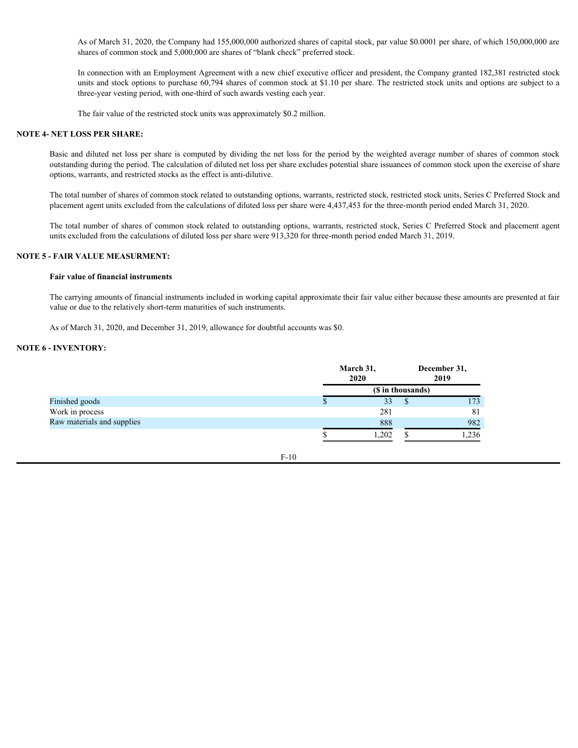As of March 31, 2020, the Company had 155,000,000 authorized shares of capital stock, par value \$0.0001 per share, of which 150,000,000 are shares of common stock and 5,000,000 are shares of "blank check" preferred stock.

In connection with an Employment Agreement with a new chief executive officer and president, the Company granted 182,381 restricted stock units and stock options to purchase 60,794 shares of common stock at \$1.10 per share. The restricted stock units and options are subject to a three-year vesting period, with one-third of such awards vesting each year.

The fair value of the restricted stock units was approximately \$0.2 million.

#### **NOTE 4- NET LOSS PER SHARE:**

Basic and diluted net loss per share is computed by dividing the net loss for the period by the weighted average number of shares of common stock outstanding during the period. The calculation of diluted net loss per share excludes potential share issuances of common stock upon the exercise of share options, warrants, and restricted stocks as the effect is anti-dilutive.

The total number of shares of common stock related to outstanding options, warrants, restricted stock, restricted stock units, Series C Preferred Stock and placement agent units excluded from the calculations of diluted loss per share were 4,437,453 for the three-month period ended March 31, 2020.

The total number of shares of common stock related to outstanding options, warrants, restricted stock, Series C Preferred Stock and placement agent units excluded from the calculations of diluted loss per share were 913,320 for three-month period ended March 31, 2019.

#### **NOTE 5 - FAIR VALUE MEASURMENT:**

#### **Fair value of financial instruments**

The carrying amounts of financial instruments included in working capital approximate their fair value either because these amounts are presented at fair value or due to the relatively short-term maturities of such instruments.

As of March 31, 2020, and December 31, 2019, allowance for doubtful accounts was \$0.

#### **NOTE 6 - INVENTORY:**

|                            | March 31,<br>2020 | December 31,<br>2019 |
|----------------------------|-------------------|----------------------|
|                            | (\$ in thousands) |                      |
| Finished goods             | 33                | 173                  |
| Work in process            | 281               | 81                   |
| Raw materials and supplies | 888               | 982                  |
|                            | 1,202             | 1,236                |
|                            |                   |                      |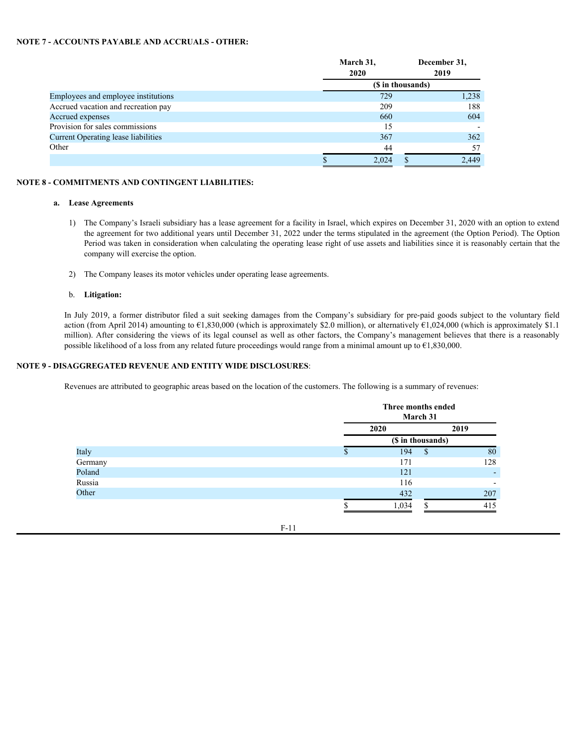#### **NOTE 7 - ACCOUNTS PAYABLE AND ACCRUALS - OTHER:**

|                                                                                                                                                                                                                                                                                                                                                                                                                                                                                                                                                                                         | March 31,<br>2020 | December 31,<br>2019 |       |
|-----------------------------------------------------------------------------------------------------------------------------------------------------------------------------------------------------------------------------------------------------------------------------------------------------------------------------------------------------------------------------------------------------------------------------------------------------------------------------------------------------------------------------------------------------------------------------------------|-------------------|----------------------|-------|
|                                                                                                                                                                                                                                                                                                                                                                                                                                                                                                                                                                                         | (\$ in thousands) |                      |       |
| Employees and employee institutions                                                                                                                                                                                                                                                                                                                                                                                                                                                                                                                                                     | 729               |                      | 1,238 |
| Accrued vacation and recreation pay                                                                                                                                                                                                                                                                                                                                                                                                                                                                                                                                                     | 209               |                      | 188   |
| Accrued expenses                                                                                                                                                                                                                                                                                                                                                                                                                                                                                                                                                                        | 660               |                      | 604   |
| Provision for sales commissions                                                                                                                                                                                                                                                                                                                                                                                                                                                                                                                                                         | 15                |                      |       |
| <b>Current Operating lease liabilities</b>                                                                                                                                                                                                                                                                                                                                                                                                                                                                                                                                              | 367               |                      | 362   |
| Other                                                                                                                                                                                                                                                                                                                                                                                                                                                                                                                                                                                   | 44                |                      | 57    |
|                                                                                                                                                                                                                                                                                                                                                                                                                                                                                                                                                                                         | 2,024             |                      | 2,449 |
|                                                                                                                                                                                                                                                                                                                                                                                                                                                                                                                                                                                         |                   |                      |       |
| The Company's Israeli subsidiary has a lease agreement for a facility in Israel, which expires on December 31, 2020 with an option to extend<br>$\left  \right $<br>the agreement for two additional years until December 31, 2022 under the terms stipulated in the agreement (the Option Period). The Option                                                                                                                                                                                                                                                                          |                   |                      |       |
| Period was taken in consideration when calculating the operating lease right of use assets and liabilities since it is reasonably certain that the<br>company will exercise the option.                                                                                                                                                                                                                                                                                                                                                                                                 |                   |                      |       |
| The Company leases its motor vehicles under operating lease agreements.<br>2)                                                                                                                                                                                                                                                                                                                                                                                                                                                                                                           |                   |                      |       |
| Litigation:<br>b.                                                                                                                                                                                                                                                                                                                                                                                                                                                                                                                                                                       |                   |                      |       |
| In July 2019, a former distributor filed a suit seeking damages from the Company's subsidiary for pre-paid goods subject to the voluntary field<br>action (from April 2014) amounting to $E1,830,000$ (which is approximately \$2.0 million), or alternatively $E1,024,000$ (which is approximately \$1.1<br>million). After considering the views of its legal counsel as well as other factors, the Company's management believes that there is a reasonably<br>possible likelihood of a loss from any related future proceedings would range from a minimal amount up to €1,830,000. |                   |                      |       |
| - DISAGGREGATED REVENUE AND ENTITY WIDE DISCLOSURES:                                                                                                                                                                                                                                                                                                                                                                                                                                                                                                                                    |                   |                      |       |

#### **NOTE 8 - COMMITMENTS AND CONTINGENT LIABILITIES:**

#### **a. Lease Agreements**

- 1) The Company's Israeli subsidiary has a lease agreement for a facility in Israel, which expires on December 31, 2020 with an option to extend the agreement for two additional years until December 31, 2022 under the terms stipulated in the agreement (the Option Period). The Option Period was taken in consideration when calculating the operating lease right of use assets and liabilities since it is reasonably certain that the company will exercise the option.
- 2) The Company leases its motor vehicles under operating lease agreements.

#### b. **Litigation:**

#### **NOTE 9 - DISAGGREGATED REVENUE AND ENTITY WIDE DISCLOSURES**:

|         | Three months ended | March 31          |                          |
|---------|--------------------|-------------------|--------------------------|
|         | 2020               |                   | 2019                     |
|         |                    | (\$ in thousands) |                          |
| Italy   | 194                |                   | 80                       |
| Germany | 171                |                   | 128                      |
| Poland  | 121                |                   |                          |
| Russia  | 116                |                   | $\overline{\phantom{a}}$ |
| Other   | 432                |                   | 207                      |
|         | 1,034              |                   | 415                      |
|         |                    |                   |                          |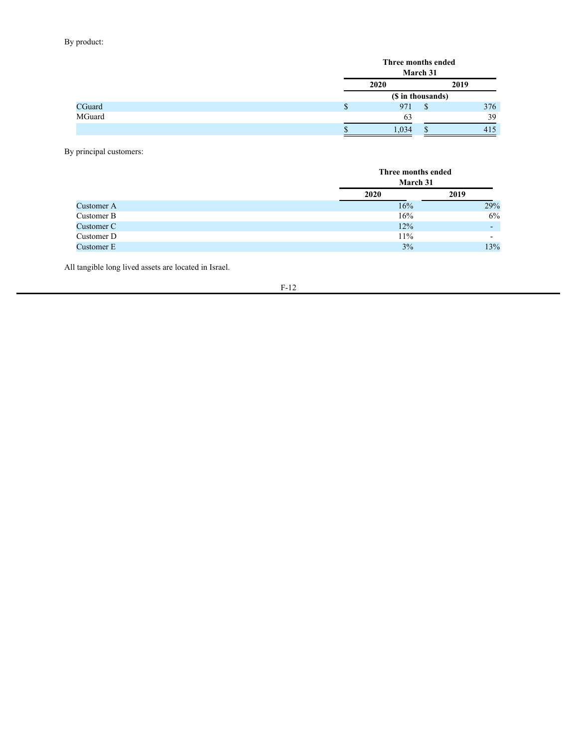## By product:

|        | Three months ended |      |
|--------|--------------------|------|
|        | March 31           |      |
|        | 2020               | 2019 |
|        | (\$ in thousands)  |      |
| CGuard | 971                | 376  |
| MGuard | 63                 | 39   |
|        | 1,034              | 415  |

By principal customers:

|            | Three months ended<br><b>March 31</b> |                          |  |
|------------|---------------------------------------|--------------------------|--|
|            | 2020                                  | 2019                     |  |
| Customer A | 16%                                   | 29%                      |  |
| Customer B | 16%                                   | 6%                       |  |
| Customer C | 12%                                   | -                        |  |
| Customer D | 11%                                   | $\overline{\phantom{0}}$ |  |
| Customer E | 3%                                    | 13%                      |  |

All tangible long lived assets are located in Israel.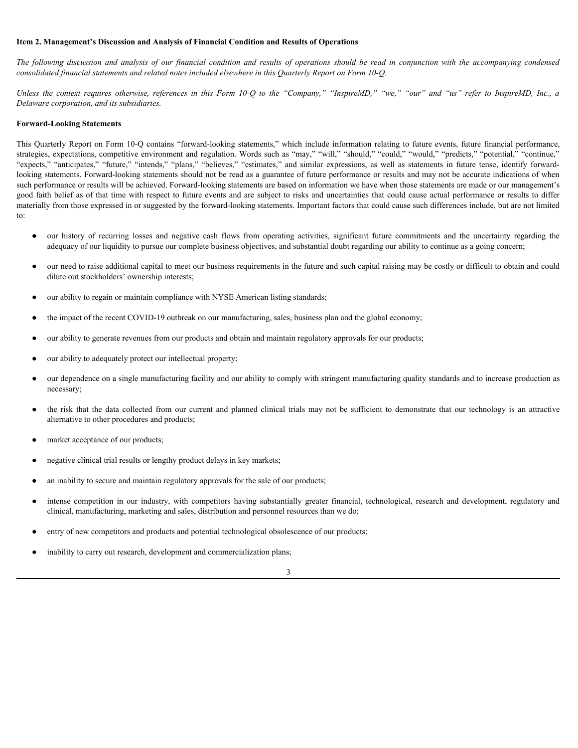#### <span id="page-16-0"></span>**Item 2. Management's Discussion and Analysis of Financial Condition and Results of Operations**

*consolidated financial statements and related notes included elsewhere in this Quarterly Report on Form 10-Q.*

**The following discussion and analysis of Financial Condition and Results of Operations**<br>*The following discussion and analysis of our financial condition and results of operations should be read in conjunction with the ac Delaware corporation, and its subsidiaries.*

#### **Forward-Looking Statements**

**Item 2. Management's Discussion and Analysis of Financial Condition and Results of Operations**<br> *The following discussion and analysis of our financial condition and results of operations should be read in conjunction wit* This Quarterly Report on Form 10-Q contains "forward-looking statements," which include information relating to future events, future financial performance, strategies, expectations, competitive environment and regulation. Words such as "may," "will," "should," "could," "would," "predicts," "potential," "continue," Them 2. Management's Discussion and Analysis of Financial Condition and Results of Operations<br>
The following discussion and analysis of our financial condition and results of operations should be read in conjunction with t looking statements. Forward-looking statements should not be read as a guarantee of future performance or results and may not be accurate indications of when such performance or results will be achieved. Forward-looking statements are based on information we have when those statements are made or our management's good faith belief as of that time with respect to future events and are subject to risks and uncertainties that could cause actual performance or results to differ materially from those expressed in or suggested by the forward-looking statements. Important factors that could cause such differences include, but are not limited to: **2. Management's Discussion and Analysis of Financial Condition and Results of Operations**<br>
following discussion and analysis of our financial condition and results of operations should be read in conjunction with the acc Note exporation, ond its substitutents.<br>  $\alpha$ -planned modeling Naturations ( $\alpha$ -planned collection) and collected in the simulation of the collection of the collection of the collection of the collection of the collectio In the list of order that consider control of the conservation air and also distant durated in the competition of the competition of the competition of the competition of the competition of the competition of the competit

- adequacy of our liquidity to pursue our complete business objectives, and substantial doubt regarding our ability to continue as a going concern;
- our need to raise additional capital to meet our business requirements in the future and such capital raising may be costly or difficult to obtain and could dilute out stockholders' ownership interests;
- our ability to regain or maintain compliance with NYSE American listing standards;
- the impact of the recent COVID-19 outbreak on our manufacturing, sales, business plan and the global economy;
- our ability to generate revenues from our products and obtain and maintain regulatory approvals for our products;
- our ability to adequately protect our intellectual property;
- our dependence on a single manufacturing facility and our ability to comply with stringent manufacturing quality standards and to increase production as necessary;
- alternative to other procedures and products;
- market acceptance of our products;
- negative clinical trial results or lengthy product delays in key markets;
- an inability to secure and maintain regulatory approvals for the sale of our products;
- clinical, manufacturing, marketing and sales, distribution and personnel resources than we do;
- entry of new competitors and products and potential technological obsolescence of our products;
- inability to carry out research, development and commercialization plans;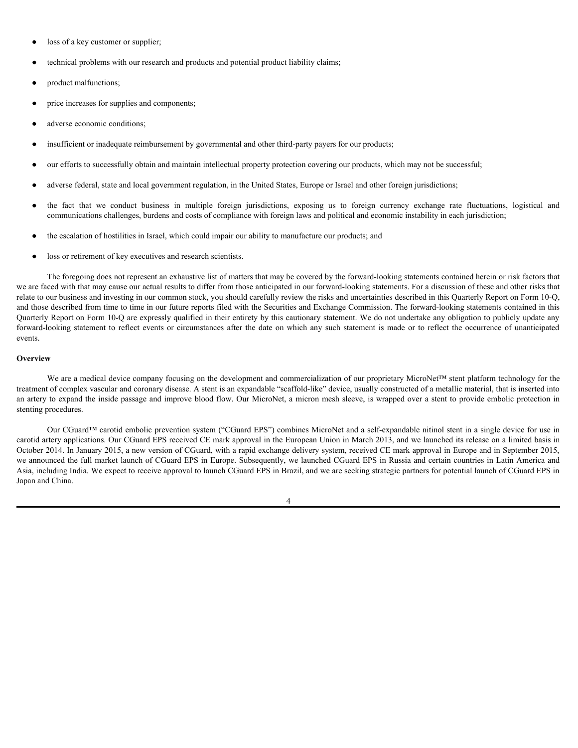- loss of a key customer or supplier;
- technical problems with our research and products and potential product liability claims;
- product malfunctions;
- price increases for supplies and components;
- adverse economic conditions;
- insufficient or inadequate reimbursement by governmental and other third-party payers for our products;
- our efforts to successfully obtain and maintain intellectual property protection covering our products, which may not be successful;
- adverse federal, state and local government regulation, in the United States, Europe or Israel and other foreign jurisdictions;
- loss of a key ousteoner or supplier,<br>
 trednical problems with our research and products and potential product lability claims;<br>
 price increases for supplies and components;<br>
 diverse economic conditions;<br>
 coref communications challenges, burdens and costs of compliance with foreign laws and political and economic instability in each jurisdiction;
- the escalation of hostilities in Israel, which could impair our ability to manufacture our products; and
- loss or retirement of key executives and research scientists.

The foregoing does not represent an exhaustive list of matters that may be covered by the forward-looking statements contained herein or risk factors that we are faced with that may cause our actual results to differ from those anticipated in our forward-looking statements. For a discussion of these and other risks that relate to our business and investing in our common stock, you should carefully review the risks and uncertainties described in this Quarterly Report on Form 10-Q, and those described from time to time in our future reports filed with the Securities and Exchange Commission. The forward-looking statements contained in this Quarterly Report on Form 10-Q are expressly qualified in their entirety by this cautionary statement. We do not undertake any obligation to publicly update any For each of a key customer or supplier.<br>
For the transmission of supplies and constraints,<br>
For price measures for supplies and components,<br>
Forward-looking statement is any such an any such any such any such any such as events.

#### **Overview Overview** *Overview*

We are a medical device company focusing on the development and commercialization of our proprietary MicroNet™ stent platform technology for the treatment of complex vascular and coronary disease. A stent is an expandable "scaffold-like" device, usually constructed of a metallic material, that is inserted into an artery to expand the inside passage and improve blood flow. Our MicroNet, a micron mesh sleeve, is wrapped over a stent to provide embolic protection in stenting procedures.

Our CGuard™ carotid embolic prevention system ("CGuard EPS") combines MicroNet and a self-expandable nitinol stent in a single device for use in carotid artery applications. Our CGuard EPS received CE mark approval in the European Union in March 2013, and we launched its release on a limited basis in October 2014. In January 2015, a new version of CGuard, with a rapid exchange delivery system, received CE mark approval in Europe and in September 2015, we announced the full market launch of CGuard EPS in Europe. Subsequently, we launched CGuard EPS in Russia and certain countries in Latin America and Asia, including India. We expect to receive approval to launch CGuard EPS in Brazil, and we are seeking strategic partners for potential launch of CGuard EPS in Japan and China.

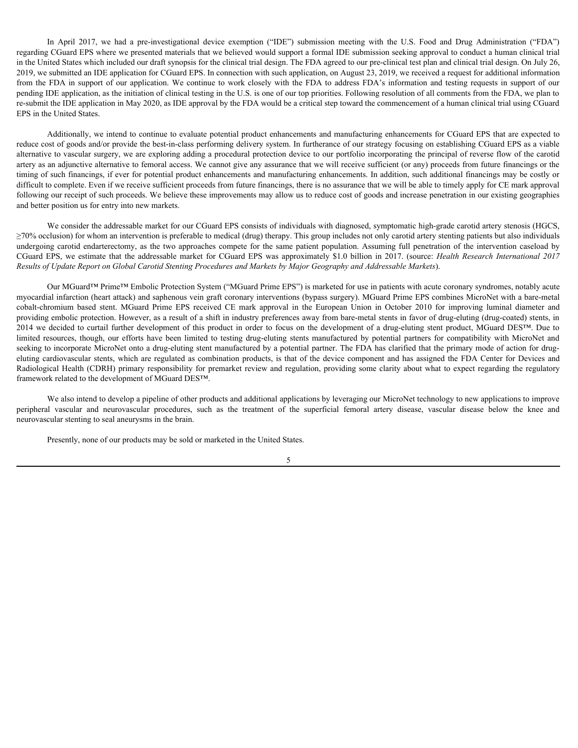In April 2017, we had a pre-investigational device exemption ("IDE") submission meeting with the U.S. Food and Drug Administration ("FDA")<br>CGuard EPS where we presented materials that we believed would support a formal IDE regarding CGuard EPS where we presented materials that we believed would support a formal IDE submission seeking approval to conduct a human clinical trial in the United States which included our draft synopsis for the clinical trial design. The FDA agreed to our pre-clinical test plan and clinical trial design. On July 26, 2019, we submitted an IDE application for CGuard EPS. In connection with such application, on August 23, 2019, we received a request for additional information In April 2017, we had a pre-investigational device exemption ("IDE") submission meeting with the U.S. Food and Drug Administration ("FDA")<br>regarding Couard EPS where we presented materials that we believed would support a pending IDE application, as the initiation of clinical testing in the U.S. is one of our top priorities. Following resolution of all comments from the FDA, we plan to re-submit the IDE application in May 2020, as IDE approval by the FDA would be a critical step toward the commencement of a human clinical trial using CGuard EPS in the United States. In April 2017, we had a ps-investigational device exception (TDE") submission meeting with the U.S. Food and Drug Administration (TDA") rights in the United States with hirdued our draft spacepair of the behinded rail des In April 2017, we had a po-investigational device exemption (TDE") submission meeting with the U.S. Ford and Drug Administration ("FDA") regarded Counter Similar Constant provides the vehiclent would support about the alte

Additionally, we intend to continue to evaluate potential product enhancements and manufacturing enhancements for CGuard EPS that are expected to reduce cost of goods and/or provide the best-in-class performing delivery system. In furtherance of our strategy focusing on establishing CGuard EPS as a viable alternative to vascular surgery, we are exploring adding a procedural protection device to our portfolio incorporating the principal of reverse flow of the carotid artery as an adjunctive alternative to femoral access. We cannot give any assurance that we will receive sufficient (or any) proceeds from future financings or the timing of such financings, if ever for potential product enhancements and manufacturing enhancements. In addition, such additional financings may be costly or difficult to complete. Even if we receive sufficient proceeds from future financings, there is no assurance that we will be able to timely apply for CE mark approval following our receipt of such proceeds. We believe these improvements may allow us to reduce cost of goods and increase penetration in our existing geographies and better position us for entry into new markets.

We consider the addressable market for our CGuard EPS consists of individuals with diagnosed, symptomatic high-grade carotid artery stenosis (HGCS,  $\geq$ 70% occlusion) for whom an intervention is preferable to medical (drug) therapy. This group includes not only carotid artery stenting patients but also individuals *Results of Update Report on Global Carotid Stenting Procedures and Markets by Major Geography and Addressable Markets*).

Our MGuard™ Prime™ Embolic Protection System ("MGuard Prime EPS") is marketed for use in patients with acute coronary syndromes, notably acute myocardial infarction (heart attack) and saphenous vein graft coronary interventions (bypass surgery). MGuard Prime EPS combines MicroNet with a bare-metal is April 2017, we had a pre-investigational device exemption (TDF") admission meeting with the US. Food and Drug Administration ("FDA") that the three in the three in the steam of the internal Prime and considered the mar providing embolic protection. However, as a result of a shift in industry preferences away from bare-metal stents in favor of drug-eluting (drug-coated) stents, in 2014 we decided to curtail further development of this product in order to focus on the development of a drug-eluting stent product, MGuard DES™. Due to lis April 2017, we had a pre-investigational device exception "DEP is shown forther BD forthermole cooling to the content in the second resources to the collection of the content them all the second to the content them del seeking to incorporate MicroNet onto a drug-eluting stent manufactured by a potential partner. The FDA has clarified that the primary mode of action for drugeluting cardiovascular stents, which are regulated as combination products, is that of the device component and has assigned the FDA Center for Devices and Radiological Health (CDRH) primary responsibility for premarket review and regulation, providing some clarity about what to expect regarding the regulatory framework related to the development of MGuard DES™. persion is the period of the media of the such and the such and the such as the such as the such as the such as the such as the such as the such as the such as the such as the such as the such as the such as the such as th

We also intend to develop a pipeline of other products and additional applications by leveraging our MicroNet technology to new applications to improve neurovascular stenting to seal aneurysms in the brain.

Presently, none of our products may be sold or marketed in the United States.

5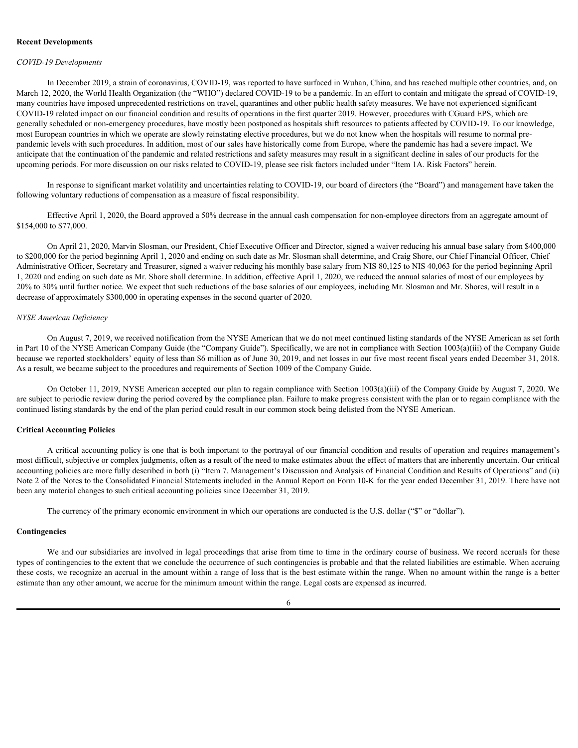#### **Recent Developments**

#### *COVID-19 Developments*

In December 2019, a strain of coronavirus, COVID-19, was reported to have surfaced in Wuhan, China, and has reached multiple other countries, and, on March 12, 2020, the World Health Organization (the "WHO") declared COVID-19 to be a pandemic. In an effort to contain and mitigate the spread of COVID-19, many countries have imposed unprecedented restrictions on travel, quarantines and other public health safety measures. We have not experienced significant COVID-19 related impact on our financial condition and results of operations in the first quarter 2019. However, procedures with CGuard EPS, which are generally scheduled or non-emergency procedures, have mostly been postponed as hospitals shift resources to patients affected by COVID-19. To our knowledge, most European countries in which we operate are slowly reinstating elective procedures, but we do not know when the hospitals will resume to normal prepandemic levels with such procedures. In addition, most of our sales have historically come from Europe, where the pandemic has had a severe impact. We anticipate that the continuation of the pandemic and related restrictions and safety measures may result in a significant decline in sales of our products for the upcoming periods. For more discussion on our risks related to COVID-19, please see risk factors included under "Item 1A. Risk Factors" herein.

In response to significant market volatility and uncertainties relating to COVID-19, our board of directors (the "Board") and management have taken the following voluntary reductions of compensation as a measure of fiscal responsibility.

Effective April 1, 2020, the Board approved a 50% decrease in the annual cash compensation for non-employee directors from an aggregate amount of \$154,000 to \$77,000.

On April 21, 2020, Marvin Slosman, our President, Chief Executive Officer and Director, signed a waiver reducing his annual base salary from \$400,000 to \$200,000 for the period beginning April 1, 2020 and ending on such date as Mr. Slosman shall determine, and Craig Shore, our Chief Financial Officer, Chief Administrative Officer, Secretary and Treasurer, signed a waiver reducing his monthly base salary from NIS 80,125 to NIS 40,063 for the period beginning April 1, 2020 and ending on such date as Mr. Shore shall determine. In addition, effective April 1, 2020, we reduced the annual salaries of most of our employees by 20% to 30% until further notice. We expect that such reductions of the base salaries of our employees, including Mr. Slosman and Mr. Shores, will result in a decrease of approximately \$300,000 in operating expenses in the second quarter of 2020.

#### *NYSE American Deficiency*

On August 7, 2019, we received notification from the NYSE American that we do not meet continued listing standards of the NYSE American as set forth in Part 10 of the NYSE American Company Guide (the "Company Guide"). Specifically, we are not in compliance with Section 1003(a)(iii) of the Company Guide because we reported stockholders' equity of less than \$6 million as of June 30, 2019, and net losses in our five most recent fiscal years ended December 31, 2018. As a result, we became subject to the procedures and requirements of Section 1009 of the Company Guide.

On October 11, 2019, NYSE American accepted our plan to regain compliance with Section 1003(a)(iii) of the Company Guide by August 7, 2020. We are subject to periodic review during the period covered by the compliance plan. Failure to make progress consistent with the plan or to regain compliance with the continued listing standards by the end of the plan period could result in our common stock being delisted from the NYSE American.

#### **Critical Accounting Policies**

A critical accounting policy is one that is both important to the portrayal of our financial condition and results of operation and requires management's most difficult, subjective or complex judgments, often as a result of the need to make estimates about the effect of matters that are inherently uncertain. Our critical accounting policies are more fully described in both (i) "Item 7. Management's Discussion and Analysis of Financial Condition and Results of Operations" and (ii) Note 2 of the Notes to the Consolidated Financial Statements included in the Annual Report on Form 10-K for the year ended December 31, 2019. There have not been any material changes to such critical accounting policies since December 31, 2019.

The currency of the primary economic environment in which our operations are conducted is the U.S. dollar ("\$" or "dollar").

#### **Contingencies**

We and our subsidiaries are involved in legal proceedings that arise from time to time in the ordinary course of business. We record accruals for these types of contingencies to the extent that we conclude the occurrence of such contingencies is probable and that the related liabilities are estimable. When accruing these costs, we recognize an accrual in the amount within a range of loss that is the best estimate within the range. When no amount within the range is a better estimate than any other amount, we accrue for the minimum amount within the range. Legal costs are expensed as incurred.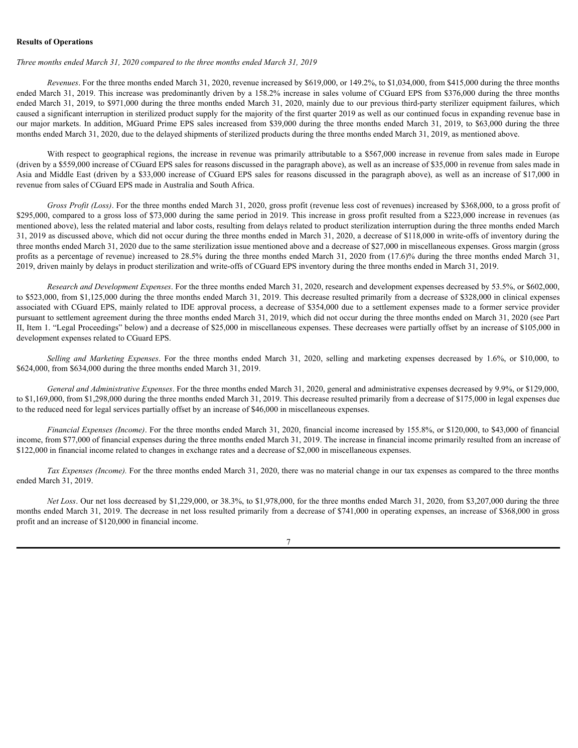#### **Results of Operations**

#### *Three months ended March 31, 2020 compared to the three months ended March 31, 2019*

*Revenues*. For the three months ended March 31, 2020, revenue increased by \$619,000, or 149.2%, to \$1,034,000, from \$415,000 during the three months ended March 31, 2019. This increase was predominantly driven by a 158.2% increase in sales volume of CGuard EPS from \$376,000 during the three months ended March 31, 2019, to \$971,000 during the three months ended March 31, 2020, mainly due to our previous third-party sterilizer equipment failures, which caused a significant interruption in sterilized product supply for the majority of the first quarter 2019 as well as our continued focus in expanding revenue base in our major markets. In addition, MGuard Prime EPS sales increased from \$39,000 during the three months ended March 31, 2019, to \$63,000 during the three months ended March 31, 2020, due to the delayed shipments of sterilized products during the three months ended March 31, 2019, as mentioned above.

With respect to geographical regions, the increase in revenue was primarily attributable to a \$567,000 increase in revenue from sales made in Europe (driven by a \$559,000 increase of CGuard EPS sales for reasons discussed in the paragraph above), as well as an increase of \$35,000 in revenue from sales made in Asia and Middle East (driven by a \$33,000 increase of CGuard EPS sales for reasons discussed in the paragraph above), as well as an increase of \$17,000 in revenue from sales of CGuard EPS made in Australia and South Africa.

*Gross Profit (Loss)*. For the three months ended March 31, 2020, gross profit (revenue less cost of revenues) increased by \$368,000, to a gross profit of \$295,000, compared to a gross loss of \$73,000 during the same period in 2019. This increase in gross profit resulted from a \$223,000 increase in revenues (as mentioned above), less the related material and labor costs, resulting from delays related to product sterilization interruption during the three months ended March 31, 2019 as discussed above, which did not occur during the three months ended in March 31, 2020, a decrease of \$118,000 in write-offs of inventory during the three months ended March 31, 2020 due to the same sterilization issue mentioned above and a decrease of \$27,000 in miscellaneous expenses. Gross margin (gross profits as a percentage of revenue) increased to 28.5% during the three months ended March 31, 2020 from (17.6)% during the three months ended March 31, 2019, driven mainly by delays in product sterilization and write-offs of CGuard EPS inventory during the three months ended in March 31, 2019. *sells. ended March 31, 2020 compared to the three months ended March 31, 2029*, and  $\alpha$  is 2020, to selling a for the Expedian Compare and Marketing and Marketing and Marketing and Marketing and Marketing and Marketing a

*Research and Development Expenses*. For the three months ended March 31, 2020, research and development expenses decreased by 53.5%, or \$602,000, to \$523,000, from \$1,125,000 during the three months ended March 31, 2019. This decrease resulted primarily from a decrease of \$328,000 in clinical expenses associated with CGuard EPS, mainly related to IDE approval process, a decrease of \$354,000 due to a settlement expenses made to a former service provider pursuant to settlement agreement during the three months ended March 31, 2019, which did not occur during the three months ended on March 31, 2020 (see Part II, Item 1. "Legal Proceedings" below) and a decrease of \$25,000 in miscellaneous expenses. These decreases were partially offset by an increase of \$105,000 in development expenses related to CGuard EPS.

\$624,000, from \$634,000 during the three months ended March 31, 2019.

*General and Administrative Expenses*. For the three months ended March 31, 2020, general and administrative expenses decreased by 9.9%, or \$129,000, to \$1,169,000, from \$1,298,000 during the three months ended March 31, 2019. This decrease resulted primarily from a decrease of \$175,000 in legal expenses due to the reduced need for legal services partially offset by an increase of \$46,000 in miscellaneous expenses.

*Financial Expenses (Income)*. For the three months ended March 31, 2020, financial income increased by 155.8%, or \$120,000, to \$43,000 of financial income, from \$77,000 of financial expenses during the three months ended March 31, 2019. The increase in financial income primarily resulted from an increase of \$122,000 in financial income related to changes in exchange rates and a decrease of \$2,000 in miscellaneous expenses.

*Tax Expenses (Income)*. For the three months ended March 31, 2020, there was no material change in our tax expenses as compared to the three months ended March 31, 2019.

*Net Loss*. Our net loss decreased by \$1,229,000, or 38.3%, to \$1,978,000, for the three months ended March 31, 2020, from \$3,207,000 during the three months ended March 31, 2019. The decrease in net loss resulted primarily from a decrease of \$741,000 in operating expenses, an increase of \$368,000 in gross profit and an increase of \$120,000 in financial income.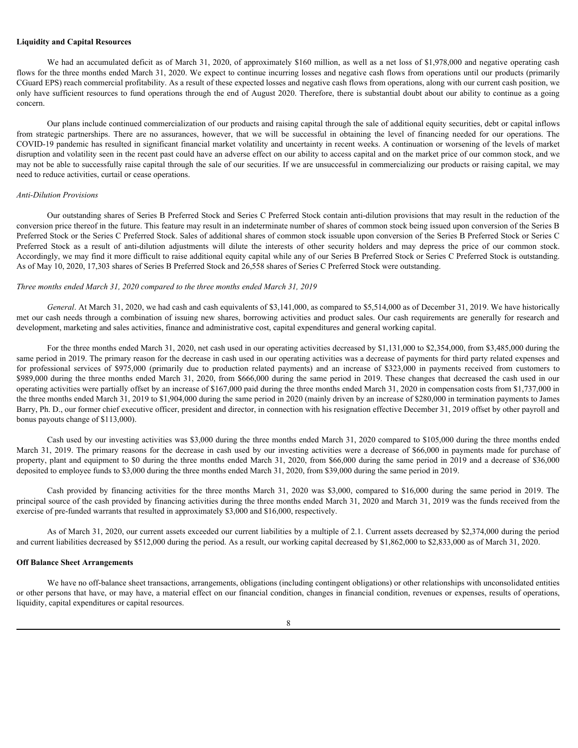#### **Liquidity and Capital Resources**

We had an accumulated deficit as of March 31, 2020, of approximately \$160 million, as well as a net loss of \$1,978,000 and negative operating cash flows for the three months ended March 31, 2020. We expect to continue incurring losses and negative cash flows from operations until our products (primarily CGuard EPS) reach commercial profitability. As a result of these expected losses and negative cash flows from operations, along with our current cash position, we only have sufficient resources to fund operations through the end of August 2020. Therefore, there is substantial doubt about our ability to continue as a going concern.

Our plans include continued commercialization of our products and raising capital through the sale of additional equity securities, debt or capital inflows **Liquidity and Capital Resources**<br>We had an accumulated deficit as of March 31, 2020, of approximately \$160 million, as well as a net loss of \$1,978,000 and negative operating cash<br>flows for the three months ended March 31 COVID-19 pandemic has resulted in significant financial market volatility and uncertainty in recent weeks. A continuation or worsening of the levels of market disruption and volatility seen in the recent past could have an adverse effect on our ability to access capital and on the market price of our common stock, and we may not be able to successfully raise capital through the sale of our securities. If we are unsuccessful in commercializing our products or raising capital, we may need to reduce activities, curtail or cease operations. **Liquidity and Capital Resources**<br>We had an accumulated deficit as of March 31, 2020, of approximately \$160 million, as well as a net less of \$1,978,000 and negative operating cash<br>flows as for the three normbots and od M

#### *Anti-Dilution Provisions*

Our outstanding shares of Series B Preferred Stock and Series C Preferred Stock contain anti-dilution provisions that may result in the reduction of the conversion price thereof in the future. This feature may result in an indeterminate number of shares of common stock being issued upon conversion of the Series B Preferred Stock or the Series C Preferred Stock. Sales of additional shares of common stock issuable upon conversion of the Series B Preferred Stock or Series C Accordingly, we may find it more difficult to raise additional equity capital while any of our Series B Preferred Stock or Series C Preferred Stock is outstanding. As of May 10, 2020, 17,303 shares of Series B Preferred Stock and 26,558 shares of Series C Preferred Stock were outstanding.

#### *Three months ended March 31, 2020 compared to the three months ended March 31, 2019*

*General*. At March 31, 2020, we had cash and cash equivalents of \$3,141,000, as compared to \$5,514,000 as of December 31, 2019. We have historically met our cash needs through a combination of issuing new shares, borrowing activities and product sales. Our cash requirements are generally for research and development, marketing and sales activities, finance and administrative cost, capital expenditures and general working capital.

For the three months ended March 31, 2020, net cash used in our operating activities decreased by \$1,131,000 to \$2,354,000, from \$3,485,000 during the same period in 2019. The primary reason for the decrease in cash used in our operating activities was a decrease of payments for third party related expenses and We had a securities defect as of Mark 31, 2000, or approximately S160 milion, as well as a relate of 15.928,000 an ingeris product to the service of the service of the service of the service of the service of the service How is the later three montested shown 31, 2020. We is given a localized the state for the system and the system in our state with the system and the results of periodic state of the system of the system of the system of t operating activities were partially offset by an increase of \$167,000 paid during the three months ended March 31, 2020 in compensation costs from \$1,737,000 in the three months ended March 31, 2019 to \$1,904,000 during the same period in 2020 (mainly driven by an increase of \$280,000 in termination payments to James Barry, Ph. D., our former chief executive officer, president and director, in connection with his resignation effective December 31, 2019 offset by other payroll and bonus payouts change of \$113,000). COVIC-19 pandrais has resulted in significant france and in the primary of the primary in case were also assumed of the level of the primary in case of the significant of the primary of the primary products in the content Toto Provideors<br>Cas Provideors<br>Cas casternial B Preferend Nock and Series C. Proferend Such contains and induced compared to the such as the system policies of the system of the system of the system of the system of the sy

Cash used by our investing activities was \$3,000 during the three months ended March 31, 2020 compared to \$105,000 during the three months ended property, plant and equipment to \$0 during the three months ended March 31, 2020, from \$66,000 during the same period in 2019 and a decrease of \$36,000 deposited to employee funds to \$3,000 during the three months ended March 31, 2020, from \$39,000 during the same period in 2019.

principal source of the cash provided by financing activities during the three months ended March 31, 2020 and March 31, 2019 was the funds received from the exercise of pre-funded warrants that resulted in approximately \$3,000 and \$16,000, respectively.

As of March 31, 2020, our current assets exceeded our current liabilities by a multiple of 2.1. Current assets decreased by \$2,374,000 during the period and current liabilities decreased by \$512,000 during the period. As a result, our working capital decreased by \$1,862,000 to \$2,833,000 as of March 31, 2020.

#### **Off Balance Sheet Arrangements**

We have no off-balance sheet transactions, arrangements, obligations (including contingent obligations) or other relationships with unconsolidated entities or other persons that have, or may have, a material effect on our financial condition, changes in financial condition, revenues or expenses, results of operations, liquidity, capital expenditures or capital resources.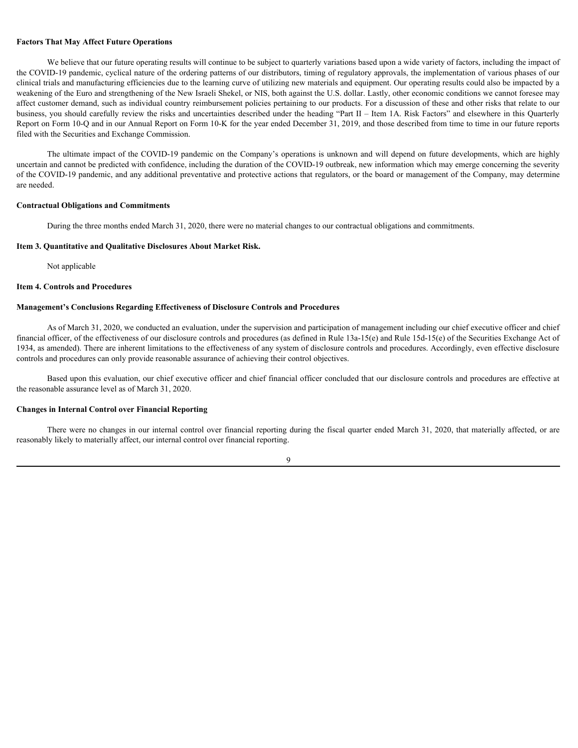#### **Factors That May Affect Future Operations**

We believe that our future operating results will continue to be subject to quarterly variations based upon a wide variety of factors, including the impact of the COVID-19 pandemic, cyclical nature of the ordering patterns of our distributors, timing of regulatory approvals, the implementation of various phases of our clinical trials and manufacturing efficiencies due to the learning curve of utilizing new materials and equipment. Our operating results could also be impacted by a weakening of the Euro and strengthening of the New Israeli Shekel, or NIS, both against the U.S. dollar. Lastly, other economic conditions we cannot foresee may affect customer demand, such as individual country reimbursement policies pertaining to our products. For a discussion of these and other risks that relate to our business, you should carefully review the risks and uncertainties described under the heading "Part II – Item 1A. Risk Factors" and elsewhere in this Quarterly Report on Form 10-Q and in our Annual Report on Form 10-K for the year ended December 31, 2019, and those described from time to time in our future reports filed with the Securities and Exchange Commission.

The ultimate impact of the COVID-19 pandemic on the Company's operations is unknown and will depend on future developments, which are highly uncertain and cannot be predicted with confidence, including the duration of the COVID-19 outbreak, new information which may emerge concerning the severity of the COVID-19 pandemic, and any additional preventative and protective actions that regulators, or the board or management of the Company, may determine are needed.

#### **Contractual Obligations and Commitments**

During the three months ended March 31, 2020, there were no material changes to our contractual obligations and commitments.

#### <span id="page-22-0"></span>**Item 3. Quantitative and Qualitative Disclosures About Market Risk.**

Not applicable

#### <span id="page-22-1"></span>**Item 4. Controls and Procedures**

#### **Management's Conclusions Regarding Effectiveness of Disclosure Controls and Procedures**

As of March 31, 2020, we conducted an evaluation, under the supervision and participation of management including our chief executive officer and chief financial officer, of the effectiveness of our disclosure controls and procedures (as defined in Rule 13a-15(e) and Rule 15d-15(e) of the Securities Exchange Act of 1934, as amended). There are inherent limitations to the effectiveness of any system of disclosure controls and procedures. Accordingly, even effective disclosure controls and procedures can only provide reasonable assurance of achieving their control objectives.

Based upon this evaluation, our chief executive officer and chief financial officer concluded that our disclosure controls and procedures are effective at the reasonable assurance level as of March 31, 2020.

#### **Changes in Internal Control over Financial Reporting**

There were no changes in our internal control over financial reporting during the fiscal quarter ended March 31, 2020, that materially affected, or are reasonably likely to materially affect, our internal control over financial reporting.

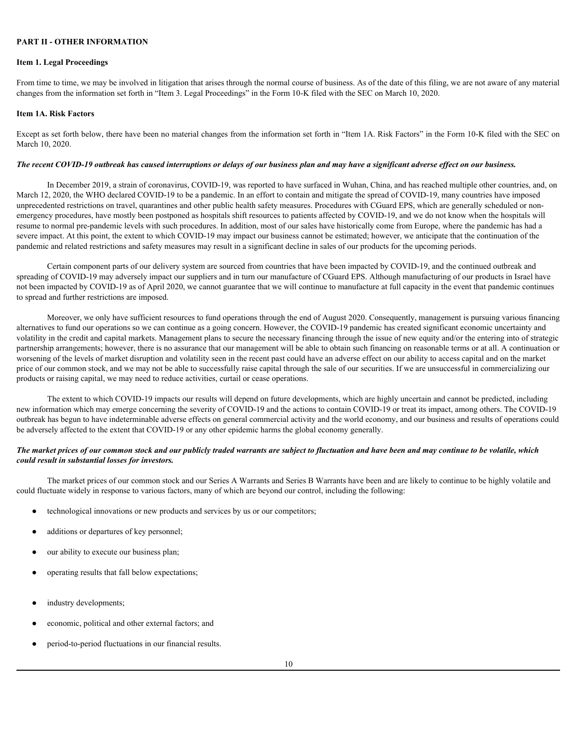#### <span id="page-23-0"></span>**PART II - OTHER INFORMATION**

#### <span id="page-23-1"></span>**Item 1. Legal Proceedings**

From time to time, we may be involved in litigation that arises through the normal course of business. As of the date of this filing, we are not aware of any material changes from the information set forth in "Item 3. Legal Proceedings" in the Form 10-K filed with the SEC on March 10, 2020.

#### <span id="page-23-2"></span>**Item 1A. Risk Factors**

Except as set forth below, there have been no material changes from the information set forth in "Item 1A. Risk Factors" in the Form 10-K filed with the SEC on March 10, 2020.

#### *The recent COVID-19 outbreak has caused interruptions or delays of our business plan and may have a significant adverse effect on our business.*

In December 2019, a strain of coronavirus, COVID-19, was reported to have surfaced in Wuhan, China, and has reached multiple other countries, and, on March 12, 2020, the WHO declared COVID-19 to be a pandemic. In an effort to contain and mitigate the spread of COVID-19, many countries have imposed unprecedented restrictions on travel, quarantines and other public health safety measures. Procedures with CGuard EPS, which are generally scheduled or nonemergency procedures, have mostly been postponed as hospitals shift resources to patients affected by COVID-19, and we do not know when the hospitals will resume to normal pre-pandemic levels with such procedures. In addition, most of our sales have historically come from Europe, where the pandemic has had a severe impact. At this point, the extent to which COVID-19 may impact our business cannot be estimated; however, we anticipate that the continuation of the pandemic and related restrictions and safety measures may result in a significant decline in sales of our products for the upcoming periods.

Certain component parts of our delivery system are sourced from countries that have been impacted by COVID-19, and the continued outbreak and spreading of COVID-19 may adversely impact our suppliers and in turn our manufacture of CGuard EPS. Although manufacturing of our products in Israel have not been impacted by COVID-19 as of April 2020, we cannot guarantee that we will continue to manufacture at full capacity in the event that pandemic continues to spread and further restrictions are imposed.

Moreover, we only have sufficient resources to fund operations through the end of August 2020. Consequently, management is pursuing various financing alternatives to fund our operations so we can continue as a going concern. However, the COVID-19 pandemic has created significant economic uncertainty and volatility in the credit and capital markets. Management plans to secure the necessary financing through the issue of new equity and/or the entering into of strategic partnership arrangements; however, there is no assurance that our management will be able to obtain such financing on reasonable terms or at all. A continuation or worsening of the levels of market disruption and volatility seen in the recent past could have an adverse effect on our ability to access capital and on the market price of our common stock, and we may not be able to successfully raise capital through the sale of our securities. If we are unsuccessful in commercializing our products or raising capital, we may need to reduce activities, curtail or cease operations.

The extent to which COVID-19 impacts our results will depend on future developments, which are highly uncertain and cannot be predicted, including new information which may emerge concerning the severity of COVID-19 and the actions to contain COVID-19 or treat its impact, among others. The COVID-19 outbreak has begun to have indeterminable adverse effects on general commercial activity and the world economy, and our business and results of operations could be adversely affected to the extent that COVID-19 or any other epidemic harms the global economy generally.

#### *The market prices of our common stock and our publicly traded warrants are subject to fluctuation and have been and may continue to be volatile, which could result in substantial losses for investors.*

The market prices of our common stock and our Series A Warrants and Series B Warrants have been and are likely to continue to be highly volatile and could fluctuate widely in response to various factors, many of which are beyond our control, including the following:

- technological innovations or new products and services by us or our competitors;
- additions or departures of key personnel;
- our ability to execute our business plan;
- operating results that fall below expectations;
- industry developments;
- economic, political and other external factors; and
- period-to-period fluctuations in our financial results.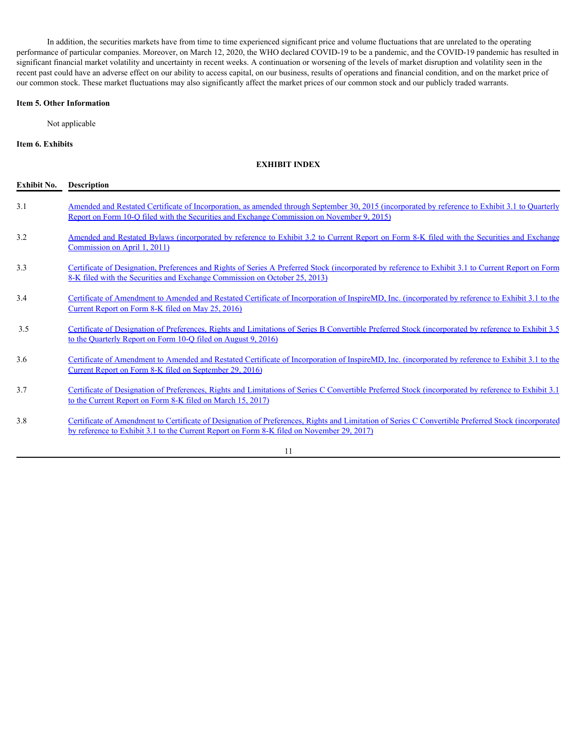In addition, the securities markets have from time to time experienced significant price and volume fluctuations that are unrelated to the operating performance of particular companies. Moreover, on March 12, 2020, the WHO declared COVID-19 to be a pandemic, and the COVID-19 pandemic has resulted in significant financial market volatility and uncertainty in recent weeks. A continuation or worsening of the levels of market disruption and volatility seen in the recent past could have an adverse effect on our ability to access capital, on our business, results of operations and financial condition, and on the market price of our common stock. These market fluctuations may also significantly affect the market prices of our common stock and our publicly traded warrants.

#### <span id="page-24-0"></span>**Item 5. Other Information**

Not applicable

#### <span id="page-24-1"></span>**Item 6. Exhibits**

#### **EXHIBIT INDEX**

| <b>Exhibit No.</b> | Description                                                                                                                                                                                                                                     |
|--------------------|-------------------------------------------------------------------------------------------------------------------------------------------------------------------------------------------------------------------------------------------------|
| 3.1                | Amended and Restated Certificate of Incorporation, as amended through September 30, 2015 (incorporated by reference to Exhibit 3.1 to Quarterly<br>Report on Form 10-Q filed with the Securities and Exchange Commission on November 9, 2015)   |
| 3.2                | Amended and Restated Bylaws (incorporated by reference to Exhibit 3.2 to Current Report on Form 8-K filed with the Securities and Exchange<br>Commission on April 1, 2011)                                                                      |
| 3.3                | Certificate of Designation, Preferences and Rights of Series A Preferred Stock (incorporated by reference to Exhibit 3.1 to Current Report on Form<br>8-K filed with the Securities and Exchange Commission on October 25, 2013)                |
| 3.4                | Certificate of Amendment to Amended and Restated Certificate of Incorporation of InspireMD, Inc. (incorporated by reference to Exhibit 3.1 to the<br>Current Report on Form 8-K filed on May 25, 2016)                                          |
| 3.5                | Certificate of Designation of Preferences, Rights and Limitations of Series B Convertible Preferred Stock (incorporated by reference to Exhibit 3.5<br>to the Quarterly Report on Form 10-Q filed on August 9, 2016)                            |
| 3.6                | Certificate of Amendment to Amended and Restated Certificate of Incorporation of InspireMD, Inc. (incorporated by reference to Exhibit 3.1 to the<br><u>Current Report on Form 8-K filed on September 29, 2016</u>                              |
| 3.7                | Certificate of Designation of Preferences, Rights and Limitations of Series C Convertible Preferred Stock (incorporated by reference to Exhibit 3.1)<br>to the Current Report on Form 8-K filed on March 15, 2017)                              |
| 3.8                | Certificate of Amendment to Certificate of Designation of Preferences, Rights and Limitation of Series C Convertible Preferred Stock (incorporated<br>by reference to Exhibit 3.1 to the Current Report on Form 8-K filed on November 29, 2017) |
|                    | 11                                                                                                                                                                                                                                              |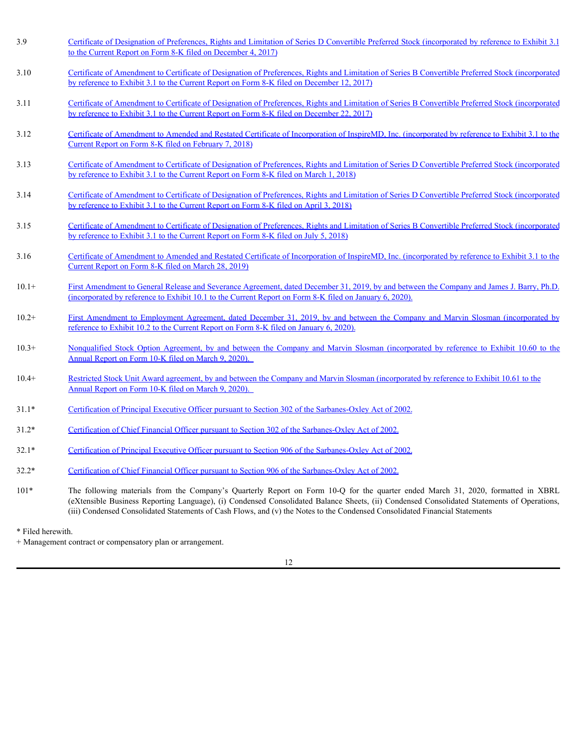- 3.9 Certificate of Designation of Preferences, Rights and Limitation of Series D Convertible Preferred Stock (incorporated by reference to Exhibit 3.1 to the Current Report on Form 8-K filed on December 4, 2017) 10.20<br>
10.16Carolina Carolina Carolina Carolina Carolina Carolina Carolina Carolina Carolina Carolina Carolina Carolina Carolina Carolina Carolina Carolina Carolina Carolina Carolina Carolina Carolina Carolina Carolina Ca 10.3.3.Continues of Dealarchino of Dealarchino Kinding and Linichtino of Science Dealarchino Company and Marvin Control and Control and Company and Agreement Company and Agreement Company and Agreement Company and Agreeme
- 3.10 Certificate of Amendment to Certificate of Designation of Preferences, Rights and Limitation of Series B Convertible Preferred Stock (incorporated by reference to Exhibit 3.1 to the Current Report on Form 8-K filed on December 12, 2017)
- 3.11 Certificate of Amendment to Certificate of Designation of Preferences, Rights and Limitation of Series B Convertible Preferred Stock (incorporated by reference to Exhibit 3.1 to the Current Report on Form 8-K filed on December 22, 2017)
- 3.12 Certificate of Amendment to Amended and Restated Certificate of Incorporation of InspireMD, Inc. (incorporated by reference to Exhibit 3.1 to the Current Report on Form 8-K filed on February 7, 2018)
- 3.13 Certificate of Amendment to Certificate of Designation of Preferences, Rights and Limitation of Series D Convertible Preferred Stock (incorporated by reference to Exhibit 3.1 to the Current Report on Form 8-K filed on March 1, 2018)
- 3.14 Certificate of Amendment to Certificate of Designation of Preferences, Rights and Limitation of Series D Convertible Preferred Stock (incorporated by reference to Exhibit 3.1 to the Current Report on Form 8-K filed on April 3, 2018)
- 3.15 Certificate of Amendment to Certificate of Designation of Preferences, Rights and Limitation of Series B Convertible Preferred Stock (incorporated by reference to Exhibit 3.1 to the Current Report on Form 8-K filed on July 5, 2018)
- 3.16 Certificate of Amendment to Amended and Restated Certificate of Incorporation of InspireMD, Inc. (incorporated by reference to Exhibit 3.1 to the Current Report on Form 8-K filed on March 28, 2019)
- 10.1+ First Amendment to General Release and Severance Agreement, dated December 31, 2019, by and between the Company and James J. Barry, Ph.D. (incorporated by reference to Exhibit 10.1 to the Current Report on Form 8-K filed on January 6, 2020).
- reference to Exhibit 10.2 to the Current Report on Form 8-K filed on January 6, 2020).
- Annual Report on Form 10-K filed on March 9, 2020).
- 10.4+ Restricted Stock Unit Award agreement, by and between the Company and Marvin Slosman (incorporated by reference to Exhibit 10.61 to the Annual Report on Form 10-K filed on March 9, 2020).
- 31.1\* Certification of Principal Executive Officer pursuant to Section 302 of the Sarbanes-Oxley Act of 2002.
- 31.2\* Certification of Chief Financial Officer pursuant to Section 302 of the Sarbanes-Oxley Act of 2002.
- 32.1\* Certification of Principal Executive Officer pursuant to Section 906 of the Sarbanes-Oxley Act of 2002.
- 32.2\* Certification of Chief Financial Officer pursuant to Section 906 of the Sarbanes-Oxley Act of 2002.
- 10.14Continents of Amendment to Certificane of Designation of Professions, Rights and Limitation of Scries D. Conventible Profession 2016, Considered March 2019, Company the Company of Archives and Company (Company the C (eXtensible Business Reporting Language), (i) Condensed Consolidated Balance Sheets, (ii) Condensed Consolidated Statements of Operations, (iii) Condensed Consolidated Statements of Cash Flows, and (v) the Notes to the Condensed Consolidated Financial Statements
- \* Filed herewith.

+ Management contract or compensatory plan or arrangement.

12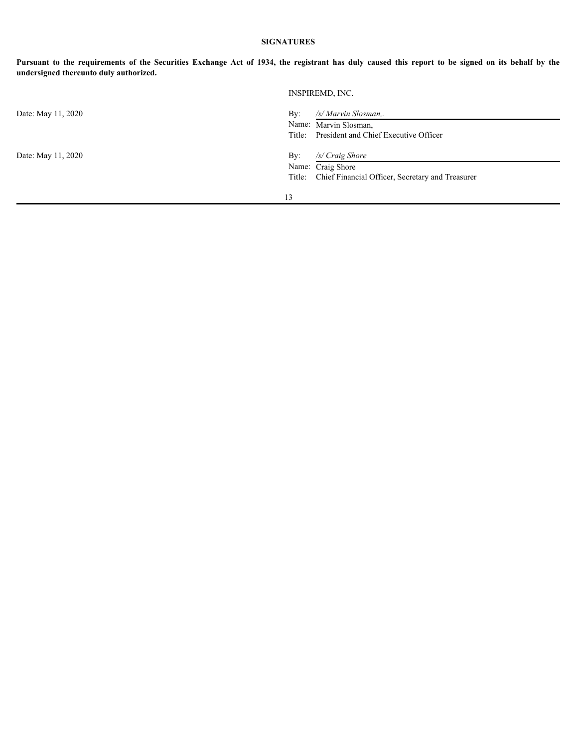### **SIGNATURES**

|                                        | <b>SIGNATURES</b>                                                                                                                                 |
|----------------------------------------|---------------------------------------------------------------------------------------------------------------------------------------------------|
| undersigned thereunto duly authorized. | Pursuant to the requirements of the Securities Exchange Act of 1934, the registrant has duly caused this report to be signed on its behalf by the |
|                                        | INSPIREMD, INC.                                                                                                                                   |
| Date: May 11, 2020                     | By:<br>/s/ Marvin Slosman,.<br>Name: Marvin Slosman,<br>President and Chief Executive Officer<br>Title:                                           |
| Date: May 11, 2020                     | /s/ Craig Shore<br>By:<br>Name: Craig Shore<br>Chief Financial Officer, Secretary and Treasurer<br>Title:                                         |
|                                        | 13                                                                                                                                                |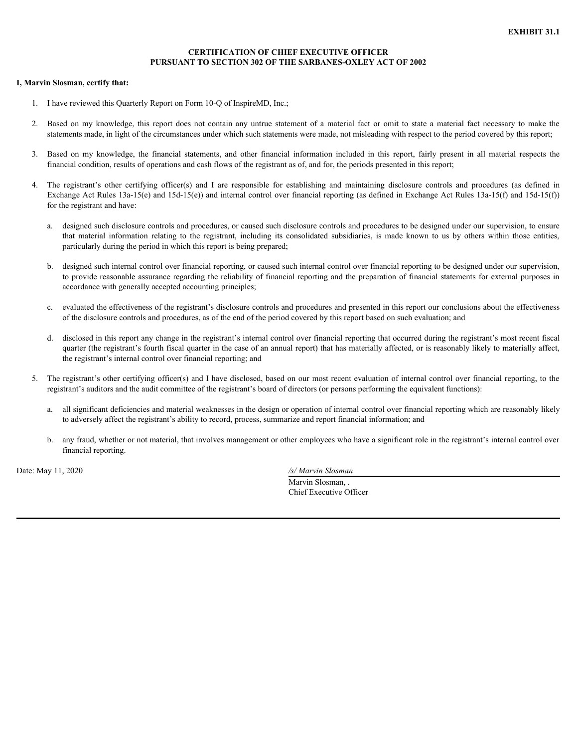#### **CERTIFICATION OF CHIEF EXECUTIVE OFFICER PURSUANT TO SECTION 302 OF THE SARBANES-OXLEY ACT OF 2002**

#### <span id="page-27-0"></span>**I, Marvin Slosman, certify that:**

- 1. I have reviewed this Quarterly Report on Form 10-Q of InspireMD, Inc.;
- statements made, in light of the circumstances under which such statements were made, not misleading with respect to the period covered by this report;
- financial condition, results of operations and cash flows of the registrant as of, and for, the periods presented in this report;
- EXHIBIT 31.1<br> **EXHIBIT 31.1**<br> **PURSUANT TO SECTION 302 OF THE SARBANES-OXLEY ACT OF 2002**<br> **Rave reviewed this Quarterly Report on Form 10-Q of InspireMD, Inc.;**<br>
2. Based on my knowledge, this report does not contain any EXHIBIT 31.1<br>
8. BASED CONSTANT TO SECTION 302 OF THE SARBANES-OXLEY ACT OF 2002<br>
3. Based on my knowledge, this report do Form 10-Q of InspireMD, Inc.;<br>
3. Based on my knowledge, this report does not contain any untrue st EXHIBIT 31.1<br> **EXHIBIT 31.1**<br> **EVIRSUANT TO SECTION 302 OF THE SARBANES-OXLEY ACT OF 2002**<br>
1. I have reviewed this Quaterly Report on Form 10-Q of InspireMD, Inc.;<br>
2. Hased on my knowledge, this report does not contain a Exchange Act Rules 13a-15(e) and 15d-15(e)) and internal control over financial reporting (as defined in Exchange Act Rules 13a-15(f) and 15d-15(f)) for the registrant and have: EXHIBIT 31.1<br> **EXHIBIT 31.1**<br> **EXHIBIT 31.1**<br> **EXHIBIT 31.1**<br> **EXHIBIT 31.1**<br> **EXHIBIT 31.1**<br> **EVALUANT TO SECTION 300 OF THE SARBANES-OXLEY ACT OF 2002**<br> **EVALUANT CONSUMPLE CONSUMPLE CONSUMPLE CONSUMPLE CONSUMPLE AND THE** 
	- a. designed such disclosure controls and procedures, or caused such disclosure controls and procedures to be designed under our supervision, to ensure particularly during the period in which this report is being prepared;
	- b. designed such internal control over financial reporting, or caused such internal control over financial reporting to be designed under our supervision, to provide reasonable assurance regarding the reliability of financial reporting and the preparation of financial statements for external purposes in accordance with generally accepted accounting principles;
	- c. evaluated the effectiveness of the registrant's disclosure controls and procedures and presented in this report our conclusions about the effectiveness of the disclosure controls and procedures, as of the end of the period covered by this report based on such evaluation; and
	- d. disclosed in this report any change in the registrant's internal control over financial reporting that occurred during the registrant's most recent fiscal quarter (the registrant's fourth fiscal quarter in the case of an annual report) that has materially affected, or is reasonably likely to materially affect, the registrant's internal control over financial reporting; and
- 5. The registrant's other certifying officer(s) and I have disclosed, based on our most recent evaluation of internal control over financial reporting, to the registrant's auditors and the audit committee of the registrant's board of directors (or persons performing the equivalent functions):
	- a. all significant deficiencies and material weaknesses in the design or operation of internal control over financial reporting which are reasonably likely to adversely affect the registrant's ability to record, process, summarize and report financial information; and
	- b. any fraud, whether or not material, that involves management or other employees who have a significant role in the registrant's internal control over financial reporting.

Date: May 11, 2020 */s/ Marvin Slosman*

Marvin Slosman, Chief Executive Officer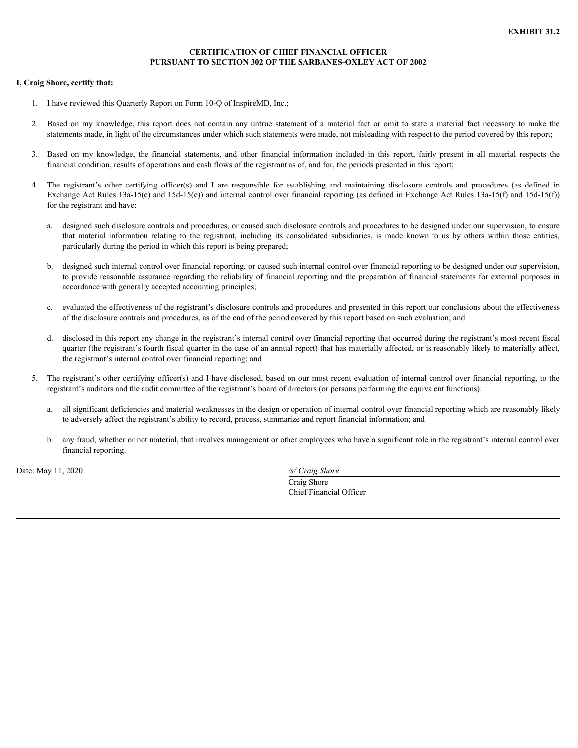#### **CERTIFICATION OF CHIEF FINANCIAL OFFICER PURSUANT TO SECTION 302 OF THE SARBANES-OXLEY ACT OF 2002**

#### <span id="page-28-0"></span>**I, Craig Shore, certify that:**

- 1. I have reviewed this Quarterly Report on Form 10-Q of InspireMD, Inc.;
- statements made, in light of the circumstances under which such statements were made, not misleading with respect to the period covered by this report;
- financial condition, results of operations and cash flows of the registrant as of, and for, the periods presented in this report;
- EXHIBIT 31.2<br> **EXHIBIT 31.2**<br> **PURSUANT TO SECTION 302 OF THE SARBANES-OXLEY ACT OF 2002**<br> **2.** Based on my knowledge, this report does not contain any untrue statement of a material fact or omit to state a material fact n **EXHIBICATION OF CHIEF FINANCIAL OFFICER**<br> **3. Based on my knowledge, this Quarterly Report on Form 10-Q of InspireMD, Inc.;**<br>
3. Based on my knowledge, this report does not contain any untrue statement of a material fact EXHIBIT 31.2<br>
PURSUANT TO SECTION 302 OF THE SARBANES-OXLEY ACT OF 2002<br>
1. I have reviewed this Quarterly Report on Form 10-Q of InspireMD, Inc.;<br>
2. Hased on my knowledge, this report does not contain any untrue statemen Exchange Act Rules 13a-15(e) and 15d-15(e)) and internal control over financial reporting (as defined in Exchange Act Rules 13a-15(f) and 15d-15(f)) for the registrant and have: EXHIBIT 31.2<br> **EXHIBIT 31.2**<br> **EXHIBIT 31.2**<br> **EXHIBIT 31.2**<br> **EXHIBIT 31.2**<br> **EXHIBIT 31.2**<br> **EVALUA TTO SECTION 300 OF THE SARBANES-OXLEY ACT OF 2002**<br> **EVALUA DEC**<br> **EVALUA CONSOLUTE CONSOLUTE CONSOLUTE AND THE SARBANES** 
	- a. designed such disclosure controls and procedures, or caused such disclosure controls and procedures to be designed under our supervision, to ensure particularly during the period in which this report is being prepared;
	- b. designed such internal control over financial reporting, or caused such internal control over financial reporting to be designed under our supervision, to provide reasonable assurance regarding the reliability of financial reporting and the preparation of financial statements for external purposes in accordance with generally accepted accounting principles;
	- c. evaluated the effectiveness of the registrant's disclosure controls and procedures and presented in this report our conclusions about the effectiveness of the disclosure controls and procedures, as of the end of the period covered by this report based on such evaluation; and
	- d. disclosed in this report any change in the registrant's internal control over financial reporting that occurred during the registrant's most recent fiscal quarter (the registrant's fourth fiscal quarter in the case of an annual report) that has materially affected, or is reasonably likely to materially affect, the registrant's internal control over financial reporting; and
- 5. The registrant's other certifying officer(s) and I have disclosed, based on our most recent evaluation of internal control over financial reporting, to the registrant's auditors and the audit committee of the registrant's board of directors (or persons performing the equivalent functions):
	- a. all significant deficiencies and material weaknesses in the design or operation of internal control over financial reporting which are reasonably likely to adversely affect the registrant's ability to record, process, summarize and report financial information; and
	- b. any fraud, whether or not material, that involves management or other employees who have a significant role in the registrant's internal control over financial reporting.

Date: May 11, 2020 */s/ Craig Shore*

Craig Shore Chief Financial Officer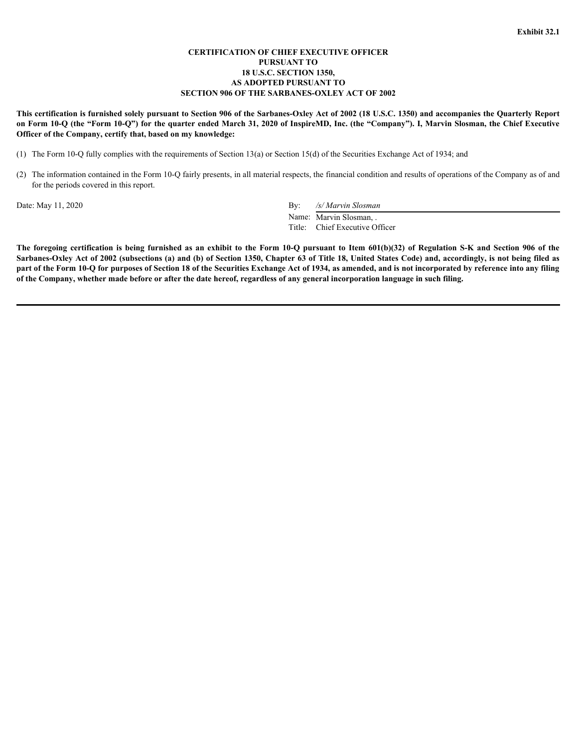#### **CERTIFICATION OF CHIEF EXECUTIVE OFFICER PURSUANT TO 18 U.S.C. SECTION 1350, AS ADOPTED PURSUANT TO SECTION 906 OF THE SARBANES-OXLEY ACT OF 2002**

**This certification is furnished solely pursuant to Section 906 of the Sarbanes-Oxley Act of 2002 (18 U.S.C. 1350) and accompanies the Quarterly Report on Form 10-Q (the "Form 10-Q") for the quarter ended March 31, 2020 of InspireMD, Inc. (the "Company"). I, Marvin Slosman, the Chief Executive Officer of the Company, certify that, based on my knowledge:**

(1) The Form 10-Q fully complies with the requirements of Section 13(a) or Section 15(d) of the Securities Exchange Act of 1934; and

(2) The information contained in the Form 10-Q fairly presents, in all material respects, the financial condition and results of operations of the Company as of and for the periods covered in this report.

Date: May 11, 2020 By: */s/ Marvin Slosman*

Name: Marvin Slosman, Title: Chief Executive Officer

<span id="page-29-0"></span>**The foregoing certification is being furnished as an exhibit to the Form 10-Q pursuant to Item 601(b)(32) of Regulation is being furnished subsequently between the Form 10-Q (here For the Form 10-Q (here For the Form 10-Q Sarbanes-Oxley Act of 2002 (subsections (a) and (b) of Section 1350, Chapter 63 of Title 18, United States Code) and, accordingly, is not being filed as part of the Form 10-Q for purposes of Section 18 of the Securities Exchange Act of 1934, as amended, and is not incorporated by reference into any filing of the Company, whether made before or after the date hereof, regardless of any general incorporation language in such filing.**